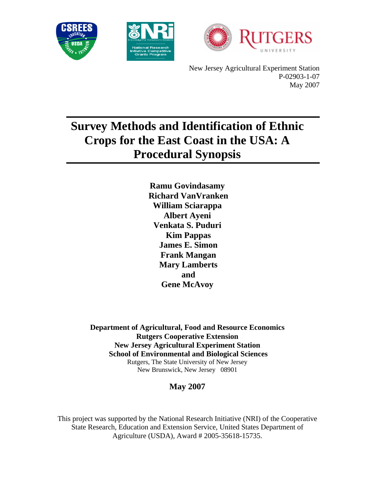





 New Jersey Agricultural Experiment Station P-02903-1-07 May 2007

# **Survey Methods and Identification of Ethnic Crops for the East Coast in the USA: A Procedural Synopsis**

**Ramu Govindasamy Richard VanVranken William Sciarappa Albert Ayeni Venkata S. Puduri Kim Pappas James E. Simon Frank Mangan Mary Lamberts and Gene McAvoy** 

**Department of Agricultural, Food and Resource Economics Rutgers Cooperative Extension New Jersey Agricultural Experiment Station School of Environmental and Biological Sciences**  Rutgers, The State University of New Jersey New Brunswick, New Jersey 08901

## **May 2007**

This project was supported by the National Research Initiative (NRI) of the Cooperative State Research, Education and Extension Service, United States Department of Agriculture (USDA), Award # 2005-35618-15735.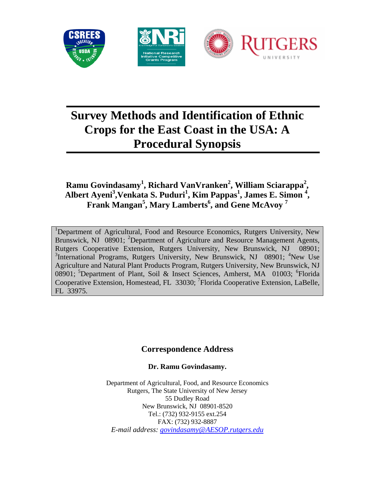

# **Survey Methods and Identification of Ethnic Crops for the East Coast in the USA: A Procedural Synopsis**

## **Ramu Govindasamy<sup>1</sup> , Richard VanVranken<sup>2</sup> , William Sciarappa<sup>2</sup> ,**  Albert Ayeni<sup>3</sup>, Venkata S. Puduri<sup>1</sup>, Kim Pappas<sup>1</sup>, James E. Simon<sup>4</sup>, **Frank Mangan<sup>5</sup> , Mary Lamberts<sup>6</sup> , and Gene McAvoy <sup>7</sup>**

<sup>1</sup>Department of Agricultural, Food and Resource Economics, Rutgers University, New Brunswick, NJ 08901; <sup>2</sup>Department of Agriculture and Resource Management Agents, Rutgers Cooperative Extension, Rutgers University, New Brunswick, NJ 08901; <sup>3</sup>International Programs, Rutgers University, New Brunswick, NJ 08901; <sup>4</sup>New Use Agriculture and Natural Plant Products Program, Rutgers University, New Brunswick, NJ 08901; <sup>5</sup>Department of Plant, Soil & Insect Sciences, Amherst, MA 01003; <sup>6</sup>Florida Cooperative Extension, Homestead, FL 33030; <sup>7</sup>Florida Cooperative Extension, LaBelle, FL 33975.

## **Correspondence Address**

### **Dr. Ramu Govindasamy.**

Department of Agricultural, Food, and Resource Economics Rutgers, The State University of New Jersey 55 Dudley Road New Brunswick, NJ 08901-8520 Tel.: (732) 932-9155 ext.254 FAX: (732) 932-8887 *E-mail address: govindasamy@AESOP.rutgers.edu*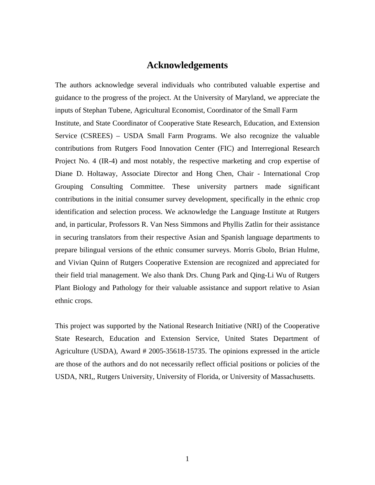### **Acknowledgements**

The authors acknowledge several individuals who contributed valuable expertise and guidance to the progress of the project. At the University of Maryland, we appreciate the inputs of Stephan Tubene, Agricultural Economist, Coordinator of the Small Farm Institute, and State Coordinator of Cooperative State Research, Education, and Extension Service (CSREES) – USDA Small Farm Programs. We also recognize the valuable contributions from Rutgers Food Innovation Center (FIC) and Interregional Research Project No. 4 (IR-4) and most notably, the respective marketing and crop expertise of Diane D. Holtaway, Associate Director and Hong Chen, Chair - International Crop Grouping Consulting Committee. These university partners made significant contributions in the initial consumer survey development, specifically in the ethnic crop identification and selection process. We acknowledge the Language Institute at Rutgers and, in particular, Professors R. Van Ness Simmons and Phyllis Zatlin for their assistance in securing translators from their respective Asian and Spanish language departments to prepare bilingual versions of the ethnic consumer surveys. Morris Gbolo, Brian Hulme, and Vivian Quinn of Rutgers Cooperative Extension are recognized and appreciated for their field trial management. We also thank Drs. Chung Park and Qing-Li Wu of Rutgers Plant Biology and Pathology for their valuable assistance and support relative to Asian ethnic crops.

This project was supported by the National Research Initiative (NRI) of the Cooperative State Research, Education and Extension Service, United States Department of Agriculture (USDA), Award # 2005-35618-15735. The opinions expressed in the article are those of the authors and do not necessarily reflect official positions or policies of the USDA, NRI,, Rutgers University, University of Florida, or University of Massachusetts.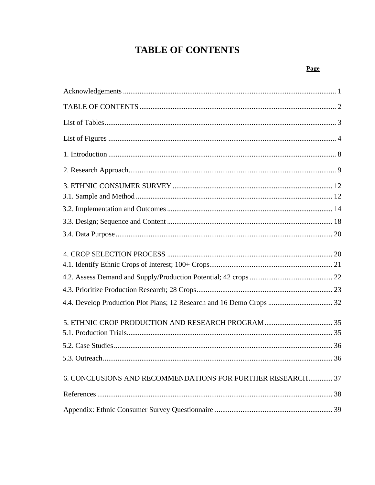# **TABLE OF CONTENTS**

#### Page

| 4.4. Develop Production Plot Plans; 12 Research and 16 Demo Crops  32 |  |
|-----------------------------------------------------------------------|--|
|                                                                       |  |
|                                                                       |  |
|                                                                       |  |
| 5.3. Outreach.<br>36                                                  |  |
| 6. CONCLUSIONS AND RECOMMENDATIONS FOR FURTHER RESEARCH 37            |  |
|                                                                       |  |
|                                                                       |  |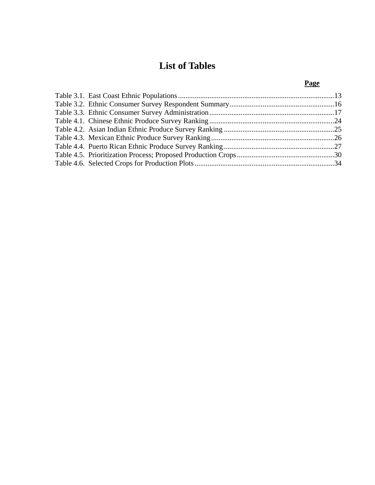## **List of Tables**

## **Page**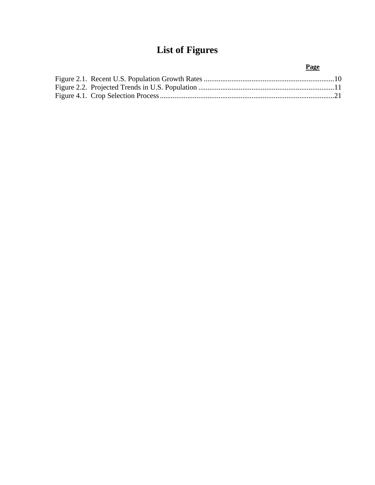# **List of Figures**

### **Page**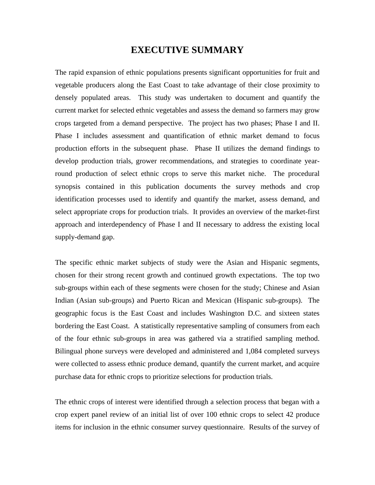### **EXECUTIVE SUMMARY**

The rapid expansion of ethnic populations presents significant opportunities for fruit and vegetable producers along the East Coast to take advantage of their close proximity to densely populated areas. This study was undertaken to document and quantify the current market for selected ethnic vegetables and assess the demand so farmers may grow crops targeted from a demand perspective. The project has two phases; Phase I and II. Phase I includes assessment and quantification of ethnic market demand to focus production efforts in the subsequent phase. Phase II utilizes the demand findings to develop production trials, grower recommendations, and strategies to coordinate yearround production of select ethnic crops to serve this market niche. The procedural synopsis contained in this publication documents the survey methods and crop identification processes used to identify and quantify the market, assess demand, and select appropriate crops for production trials. It provides an overview of the market-first approach and interdependency of Phase I and II necessary to address the existing local supply-demand gap.

The specific ethnic market subjects of study were the Asian and Hispanic segments, chosen for their strong recent growth and continued growth expectations. The top two sub-groups within each of these segments were chosen for the study; Chinese and Asian Indian (Asian sub-groups) and Puerto Rican and Mexican (Hispanic sub-groups). The geographic focus is the East Coast and includes Washington D.C. and sixteen states bordering the East Coast. A statistically representative sampling of consumers from each of the four ethnic sub-groups in area was gathered via a stratified sampling method. Bilingual phone surveys were developed and administered and 1,084 completed surveys were collected to assess ethnic produce demand, quantify the current market, and acquire purchase data for ethnic crops to prioritize selections for production trials.

The ethnic crops of interest were identified through a selection process that began with a crop expert panel review of an initial list of over 100 ethnic crops to select 42 produce items for inclusion in the ethnic consumer survey questionnaire. Results of the survey of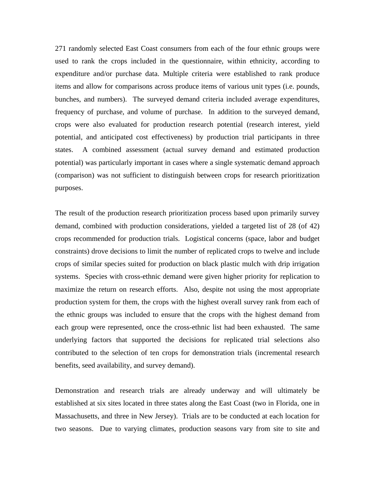271 randomly selected East Coast consumers from each of the four ethnic groups were used to rank the crops included in the questionnaire, within ethnicity, according to expenditure and/or purchase data. Multiple criteria were established to rank produce items and allow for comparisons across produce items of various unit types (i.e. pounds, bunches, and numbers). The surveyed demand criteria included average expenditures, frequency of purchase, and volume of purchase. In addition to the surveyed demand, crops were also evaluated for production research potential (research interest, yield potential, and anticipated cost effectiveness) by production trial participants in three states. A combined assessment (actual survey demand and estimated production potential) was particularly important in cases where a single systematic demand approach (comparison) was not sufficient to distinguish between crops for research prioritization purposes.

The result of the production research prioritization process based upon primarily survey demand, combined with production considerations, yielded a targeted list of 28 (of 42) crops recommended for production trials. Logistical concerns (space, labor and budget constraints) drove decisions to limit the number of replicated crops to twelve and include crops of similar species suited for production on black plastic mulch with drip irrigation systems. Species with cross-ethnic demand were given higher priority for replication to maximize the return on research efforts. Also, despite not using the most appropriate production system for them, the crops with the highest overall survey rank from each of the ethnic groups was included to ensure that the crops with the highest demand from each group were represented, once the cross-ethnic list had been exhausted. The same underlying factors that supported the decisions for replicated trial selections also contributed to the selection of ten crops for demonstration trials (incremental research benefits, seed availability, and survey demand).

Demonstration and research trials are already underway and will ultimately be established at six sites located in three states along the East Coast (two in Florida, one in Massachusetts, and three in New Jersey). Trials are to be conducted at each location for two seasons. Due to varying climates, production seasons vary from site to site and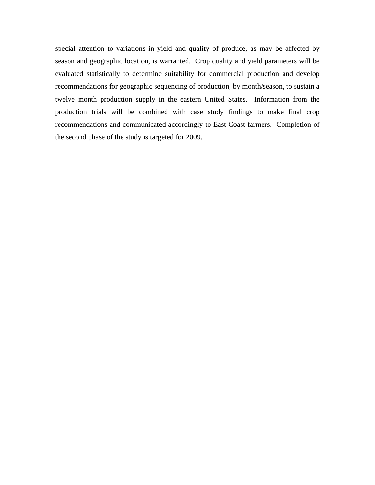special attention to variations in yield and quality of produce, as may be affected by season and geographic location, is warranted. Crop quality and yield parameters will be evaluated statistically to determine suitability for commercial production and develop recommendations for geographic sequencing of production, by month/season, to sustain a twelve month production supply in the eastern United States. Information from the production trials will be combined with case study findings to make final crop recommendations and communicated accordingly to East Coast farmers. Completion of the second phase of the study is targeted for 2009.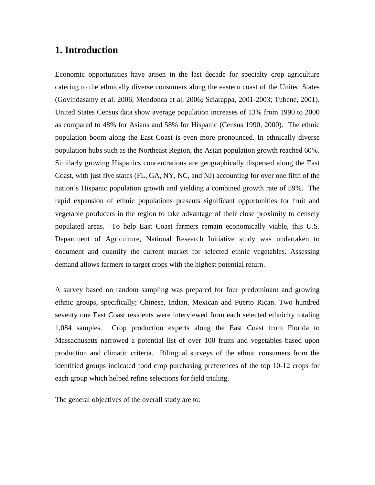## **1. Introduction**

Economic opportunities have arisen in the last decade for specialty crop agriculture catering to the ethnically diverse consumers along the eastern coast of the United States (Govindasamy et al. 2006; Mendonca et al. 2006**;** Sciarappa, 2001-2003; Tubene, 2001). United States Census data show average population increases of 13% from 1990 to 2000 as compared to 48% for Asians and 58% for Hispanic (Census 1990, 2000). The ethnic population boom along the East Coast is even more pronounced. In ethnically diverse population hubs such as the Northeast Region, the Asian population growth reached 60%. Similarly growing Hispanics concentrations are geographically dispersed along the East Coast, with just five states (FL, GA, NY, NC, and NJ) accounting for over one fifth of the nation's Hispanic population growth and yielding a combined growth rate of 59%. The rapid expansion of ethnic populations presents significant opportunities for fruit and vegetable producers in the region to take advantage of their close proximity to densely populated areas. To help East Coast farmers remain economically viable, this U.S. Department of Agriculture, National Research Initiative study was undertaken to document and quantify the current market for selected ethnic vegetables. Assessing demand allows farmers to target crops with the highest potential return.

A survey based on random sampling was prepared for four predominant and growing ethnic groups, specifically; Chinese, Indian, Mexican and Puerto Rican. Two hundred seventy one East Coast residents were interviewed from each selected ethnicity totaling 1,084 samples. Crop production experts along the East Coast from Florida to Massachusetts narrowed a potential list of over 100 fruits and vegetables based upon production and climatic criteria. Bilingual surveys of the ethnic consumers from the identified groups indicated food crop purchasing preferences of the top 10-12 crops for each group which helped refine selections for field trialing.

The general objectives of the overall study are to: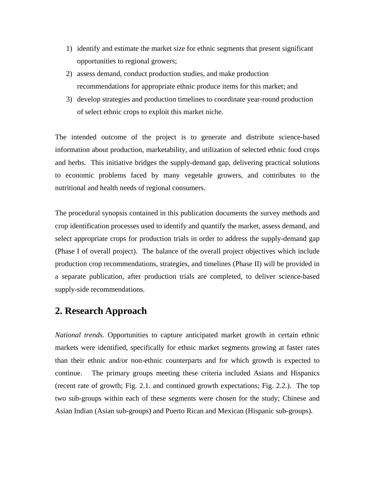- 1) identify and estimate the market size for ethnic segments that present significant opportunities to regional growers;
- 2) assess demand, conduct production studies, and make production recommendations for appropriate ethnic produce items for this market; and
- 3) develop strategies and production timelines to coordinate year-round production of select ethnic crops to exploit this market niche.

The intended outcome of the project is to generate and distribute science-based information about production, marketability, and utilization of selected ethnic food crops and herbs. This initiative bridges the supply-demand gap, delivering practical solutions to economic problems faced by many vegetable growers, and contributes to the nutritional and health needs of regional consumers.

The procedural synopsis contained in this publication documents the survey methods and crop identification processes used to identify and quantify the market, assess demand, and select appropriate crops for production trials in order to address the supply-demand gap (Phase I of overall project). The balance of the overall project objectives which include production crop recommendations, strategies, and timelines (Phase II) will be provided in a separate publication, after production trials are completed, to deliver science-based supply-side recommendations.

## **2. Research Approach**

*National trends.* Opportunities to capture anticipated market growth in certain ethnic markets were identified, specifically for ethnic market segments growing at faster rates than their ethnic and/or non-ethnic counterparts and for which growth is expected to continue. The primary groups meeting these criteria included Asians and Hispanics (recent rate of growth; Fig. 2.1. and continued growth expectations; Fig. 2.2.). The top two sub-groups within each of these segments were chosen for the study; Chinese and Asian Indian (Asian sub-groups) and Puerto Rican and Mexican (Hispanic sub-groups).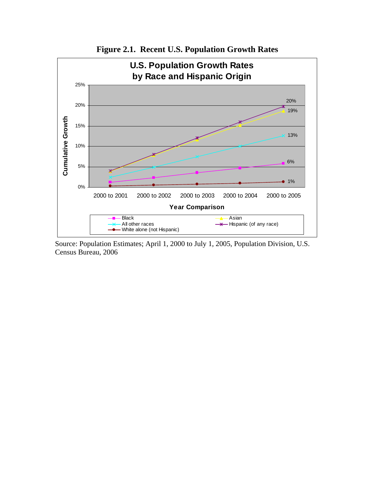

**Figure 2.1. Recent U.S. Population Growth Rates** 

Source: Population Estimates; April 1, 2000 to July 1, 2005, Population Division, U.S. Census Bureau, 2006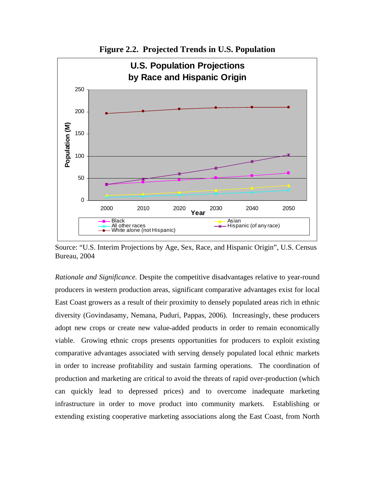

**Figure 2.2. Projected Trends in U.S. Population** 

Source: "U.S. Interim Projections by Age, Sex, Race, and Hispanic Origin", U.S. Census Bureau, 2004

*Rationale and Significance.* Despite the competitive disadvantages relative to year-round producers in western production areas, significant comparative advantages exist for local East Coast growers as a result of their proximity to densely populated areas rich in ethnic diversity (Govindasamy, Nemana, Puduri, Pappas, 2006). Increasingly, these producers adopt new crops or create new value-added products in order to remain economically viable. Growing ethnic crops presents opportunities for producers to exploit existing comparative advantages associated with serving densely populated local ethnic markets in order to increase profitability and sustain farming operations. The coordination of production and marketing are critical to avoid the threats of rapid over-production (which can quickly lead to depressed prices) and to overcome inadequate marketing infrastructure in order to move product into community markets. Establishing or extending existing cooperative marketing associations along the East Coast, from North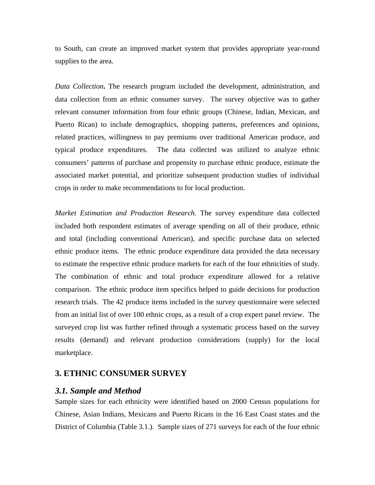to South, can create an improved market system that provides appropriate year-round supplies to the area.

*Data Collection***.** The research program included the development, administration, and data collection from an ethnic consumer survey. The survey objective was to gather relevant consumer information from four ethnic groups (Chinese, Indian, Mexican, and Puerto Rican) to include demographics, shopping patterns, preferences and opinions, related practices, willingness to pay premiums over traditional American produce, and typical produce expenditures. The data collected was utilized to analyze ethnic consumers' patterns of purchase and propensity to purchase ethnic produce, estimate the associated market potential, and prioritize subsequent production studies of individual crops in order to make recommendations to for local production.

*Market Estimation and Production Research.* The survey expenditure data collected included both respondent estimates of average spending on all of their produce, ethnic and total (including conventional American), and specific purchase data on selected ethnic produce items. The ethnic produce expenditure data provided the data necessary to estimate the respective ethnic produce markets for each of the four ethnicities of study. The combination of ethnic and total produce expenditure allowed for a relative comparison. The ethnic produce item specifics helped to guide decisions for production research trials. The 42 produce items included in the survey questionnaire were selected from an initial list of over 100 ethnic crops, as a result of a crop expert panel review. The surveyed crop list was further refined through a systematic process based on the survey results (demand) and relevant production considerations (supply) for the local marketplace.

#### **3. ETHNIC CONSUMER SURVEY**

#### *3.1. Sample and Method*

Sample sizes for each ethnicity were identified based on 2000 Census populations for Chinese, Asian Indians, Mexicans and Puerto Ricans in the 16 East Coast states and the District of Columbia (Table 3.1.). Sample sizes of 271 surveys for each of the four ethnic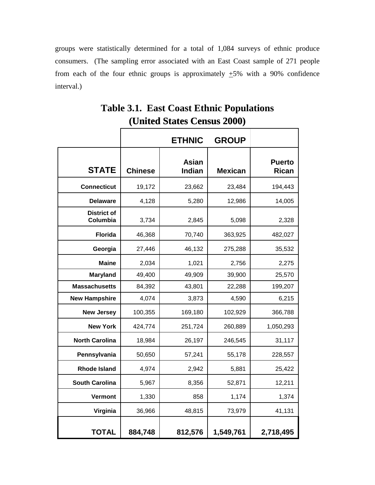groups were statistically determined for a total of 1,084 surveys of ethnic produce consumers. (The sampling error associated with an East Coast sample of 271 people from each of the four ethnic groups is approximately  $\pm 5\%$  with a 90% confidence interval.)

|                                |                | <b>ETHNIC</b>          | <b>GROUP</b>   |                               |
|--------------------------------|----------------|------------------------|----------------|-------------------------------|
| <b>STATE</b>                   | <b>Chinese</b> | <b>Asian</b><br>Indian | <b>Mexican</b> | <b>Puerto</b><br><b>Rican</b> |
| <b>Connecticut</b>             | 19,172         | 23,662                 | 23,484         | 194,443                       |
| <b>Delaware</b>                | 4,128          | 5,280                  | 12,986         | 14,005                        |
| <b>District of</b><br>Columbia | 3,734          | 2,845                  | 5,098          | 2,328                         |
| <b>Florida</b>                 | 46,368         | 70,740                 | 363,925        | 482,027                       |
| Georgia                        | 27,446         | 46,132                 | 275,288        | 35,532                        |
| <b>Maine</b>                   | 2,034          | 1,021                  | 2,756          | 2,275                         |
| <b>Maryland</b>                | 49,400         | 49,909                 | 39,900         | 25,570                        |
| <b>Massachusetts</b>           | 84,392         | 43,801                 | 22,288         | 199,207                       |
| <b>New Hampshire</b>           | 4,074          | 3,873                  | 4,590          | 6,215                         |
| <b>New Jersey</b>              | 100,355        | 169,180                | 102,929        | 366,788                       |
| <b>New York</b>                | 424,774        | 251,724                | 260,889        | 1,050,293                     |
| <b>North Carolina</b>          | 18,984         | 26,197                 | 246,545        | 31,117                        |
| Pennsylvania                   | 50,650         | 57,241                 | 55,178         | 228,557                       |
| <b>Rhode Island</b>            | 4,974          | 2,942                  | 5,881          | 25,422                        |
| <b>South Carolina</b>          | 5,967          | 8,356                  | 52,871         | 12,211                        |
| Vermont                        | 1,330          | 858                    | 1,174          | 1,374                         |
| Virginia                       | 36,966         | 48,815                 | 73,979         | 41,131                        |
| <b>TOTAL</b>                   | 884,748        | 812,576                | 1,549,761      | 2,718,495                     |

## **Table 3.1. East Coast Ethnic Populations (United States Census 2000)**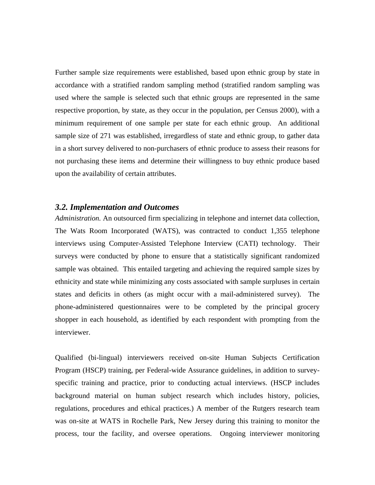Further sample size requirements were established, based upon ethnic group by state in accordance with a stratified random sampling method (stratified random sampling was used where the sample is selected such that ethnic groups are represented in the same respective proportion, by state, as they occur in the population, per Census 2000), with a minimum requirement of one sample per state for each ethnic group. An additional sample size of 271 was established, irregardless of state and ethnic group, to gather data in a short survey delivered to non-purchasers of ethnic produce to assess their reasons for not purchasing these items and determine their willingness to buy ethnic produce based upon the availability of certain attributes.

#### *3.2. Implementation and Outcomes*

*Administration.* An outsourced firm specializing in telephone and internet data collection, The Wats Room Incorporated (WATS), was contracted to conduct 1,355 telephone interviews using Computer-Assisted Telephone Interview (CATI) technology. Their surveys were conducted by phone to ensure that a statistically significant randomized sample was obtained. This entailed targeting and achieving the required sample sizes by ethnicity and state while minimizing any costs associated with sample surpluses in certain states and deficits in others (as might occur with a mail-administered survey). The phone-administered questionnaires were to be completed by the principal grocery shopper in each household, as identified by each respondent with prompting from the interviewer.

Qualified (bi-lingual) interviewers received on-site Human Subjects Certification Program (HSCP) training, per Federal-wide Assurance guidelines, in addition to surveyspecific training and practice, prior to conducting actual interviews. (HSCP includes background material on human subject research which includes history, policies, regulations, procedures and ethical practices.) A member of the Rutgers research team was on-site at WATS in Rochelle Park, New Jersey during this training to monitor the process, tour the facility, and oversee operations. Ongoing interviewer monitoring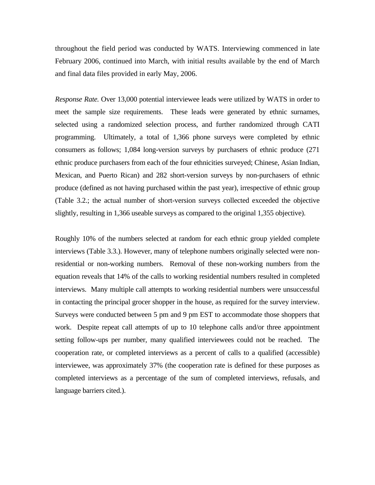throughout the field period was conducted by WATS. Interviewing commenced in late February 2006, continued into March, with initial results available by the end of March and final data files provided in early May, 2006.

*Response Rate.* Over 13,000 potential interviewee leads were utilized by WATS in order to meet the sample size requirements. These leads were generated by ethnic surnames, selected using a randomized selection process, and further randomized through CATI programming. Ultimately, a total of 1,366 phone surveys were completed by ethnic consumers as follows; 1,084 long-version surveys by purchasers of ethnic produce (271 ethnic produce purchasers from each of the four ethnicities surveyed; Chinese, Asian Indian, Mexican, and Puerto Rican) and 282 short-version surveys by non-purchasers of ethnic produce (defined as not having purchased within the past year), irrespective of ethnic group (Table 3.2.; the actual number of short-version surveys collected exceeded the objective slightly, resulting in 1,366 useable surveys as compared to the original 1,355 objective).

Roughly 10% of the numbers selected at random for each ethnic group yielded complete interviews (Table 3.3.). However, many of telephone numbers originally selected were nonresidential or non-working numbers. Removal of these non-working numbers from the equation reveals that 14% of the calls to working residential numbers resulted in completed interviews. Many multiple call attempts to working residential numbers were unsuccessful in contacting the principal grocer shopper in the house, as required for the survey interview. Surveys were conducted between 5 pm and 9 pm EST to accommodate those shoppers that work. Despite repeat call attempts of up to 10 telephone calls and/or three appointment setting follow-ups per number, many qualified interviewees could not be reached. The cooperation rate, or completed interviews as a percent of calls to a qualified (accessible) interviewee, was approximately 37% (the cooperation rate is defined for these purposes as completed interviews as a percentage of the sum of completed interviews, refusals, and language barriers cited.).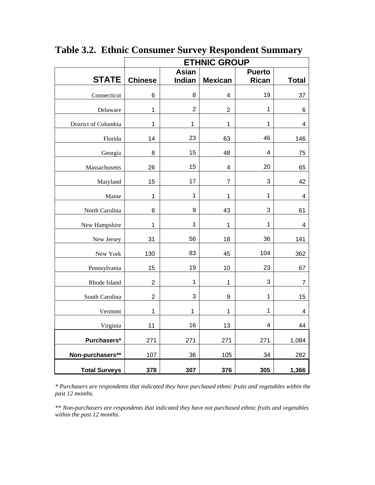|                      | <b>ETHNIC GROUP</b>     |                |                         |                           |                         |  |  |
|----------------------|-------------------------|----------------|-------------------------|---------------------------|-------------------------|--|--|
|                      |                         | <b>Asian</b>   |                         | <b>Puerto</b>             |                         |  |  |
| <b>STATE</b>         | <b>Chinese</b>          | <b>Indian</b>  | <b>Mexican</b>          | <b>Rican</b>              | <b>Total</b>            |  |  |
| Connecticut          | 6                       | 8              | $\overline{\mathbf{4}}$ | 19                        | 37                      |  |  |
| Delaware             | 1                       | $\overline{2}$ | $\overline{c}$          | 1                         | 6                       |  |  |
| District of Columbia | 1                       | $\mathbf 1$    | 1                       | 1                         | 4                       |  |  |
| Florida              | 14                      | 23             | 63                      | 46                        | 146                     |  |  |
| Georgia              | 8                       | 15             | 48                      | $\overline{4}$            | 75                      |  |  |
| Massachusetts        | 26                      | 15             | 4                       | 20                        | 65                      |  |  |
| Maryland             | 15                      | 17             | 7                       | 3                         | 42                      |  |  |
| Maine                | $\mathbf 1$             | $\mathbf 1$    | 1                       | $\mathbf{1}$              | $\overline{\mathbf{4}}$ |  |  |
| North Carolina       | 6                       | 9              | 43                      | $\ensuremath{\mathsf{3}}$ | 61                      |  |  |
| New Hampshire        | $\mathbf 1$             | $\mathbf 1$    | $\mathbf 1$             | 1                         | $\overline{\mathbf{4}}$ |  |  |
| New Jersey           | 31                      | 56             | 18                      | 36                        | 141                     |  |  |
| New York             | 130                     | 83             | 45                      | 104                       | 362                     |  |  |
| Pennsylvania         | 15                      | 19             | 10                      | 23                        | 67                      |  |  |
| Rhode Island         | $\overline{\mathbf{c}}$ | $\mathbf 1$    | 1                       | $\ensuremath{\mathsf{3}}$ | 7                       |  |  |
| South Carolina       | $\overline{c}$          | 3              | 9                       | 1                         | 15                      |  |  |
| Vermont              | $\mathbf 1$             | $\mathbf 1$    | 1                       | 1                         | 4                       |  |  |
| Virginia             | 11                      | 16             | 13                      | 4                         | 44                      |  |  |
| Purchasers*          | 271                     | 271            | 271                     | 271                       | 1,084                   |  |  |
| Non-purchasers**     | 107                     | 36             | 105                     | 34                        | 282                     |  |  |
| <b>Total Surveys</b> | 378                     | 307            | 376                     | 305                       | 1,366                   |  |  |

**Table 3.2. Ethnic Consumer Survey Respondent Summary** 

*\* Purchasers are respondents that indicated they have purchased ethnic fruits and vegetables within the past 12 months.* 

*\*\* Non-purchasers are respondents that indicated they have not purchased ethnic fruits and vegetables within the past 12 months.*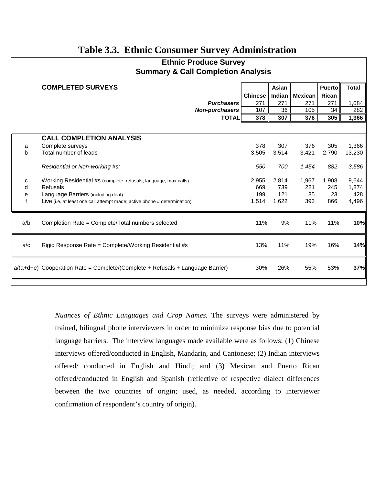## **Table 3.3. Ethnic Consumer Survey Administration**

| <b>Ethnic Produce Survey</b>                  |  |
|-----------------------------------------------|--|
| <b>Summary &amp; Call Completion Analysis</b> |  |

|     | <b>Summary &amp; Call Completion Analysis</b>                                    |                   |                |              |                |               |              |
|-----|----------------------------------------------------------------------------------|-------------------|----------------|--------------|----------------|---------------|--------------|
|     | <b>COMPLETED SURVEYS</b>                                                         |                   |                | <b>Asian</b> |                | <b>Puerto</b> | <b>Total</b> |
|     |                                                                                  |                   | <b>Chinese</b> | Indian       | <b>Mexican</b> | <b>Rican</b>  |              |
|     |                                                                                  | <b>Purchasers</b> | 271            | 271          | 271            | 271           | 1,084        |
|     |                                                                                  | Non-purchasers    | 107            | 36           | 105            | 34            | 282          |
|     |                                                                                  | <b>TOTAL</b>      | 378            | 307          | 376            | 305           | 1,366        |
|     |                                                                                  |                   |                |              |                |               |              |
|     | <b>CALL COMPLETION ANALYSIS</b>                                                  |                   |                |              |                |               |              |
| a   | Complete surveys                                                                 |                   | 378            | 307          | 376            | 305           | 1,366        |
| b   | Total number of leads                                                            |                   | 3,505          | 3,514        | 3,421          | 2,790         | 13,230       |
|     | Residential or Non-working #s:                                                   |                   | 550            | 700          | 1,454          | 882           | 3,586        |
| c   | Working Residential #s (complete, refusals, language, max calls)                 |                   | 2,955          | 2,814        | 1,967          | 1,908         | 9,644        |
| d   | Refusals                                                                         |                   | 669            | 739          | 221            | 245           | 1,874        |
| e   | Language Barriers (including deaf)                                               |                   | 199            | 121          | 85             | 23            | 428          |
|     | Live (i.e. at least one call attempt made; active phone # determination)         |                   | 1,514          | 1,622        | 393            | 866           | 4,496        |
| a/b | Completion Rate = Complete/Total numbers selected                                |                   | 11%            | 9%           | 11%            | 11%           | 10%          |
| a/c | Rigid Response Rate = Complete/Working Residential #s                            |                   | 13%            | 11%          | 19%            | 16%           | 14%          |
|     | $a/(a+d+e)$ Cooperation Rate = Complete/(Complete + Refusals + Language Barrier) |                   | 30%            | 26%          | 55%            | 53%           | 37%          |
|     |                                                                                  |                   |                |              |                |               |              |

*Nuances of Ethnic Languages and Crop Names.* The surveys were administered by trained, bilingual phone interviewers in order to minimize response bias due to potential language barriers. The interview languages made available were as follows; (1) Chinese interviews offered/conducted in English, Mandarin, and Cantonese; (2) Indian interviews offered/ conducted in English and Hindi; and (3) Mexican and Puerto Rican offered/conducted in English and Spanish (reflective of respective dialect differences between the two countries of origin; used, as needed, according to interviewer confirmation of respondent's country of origin).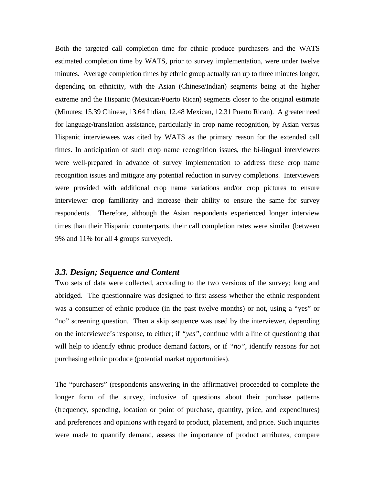Both the targeted call completion time for ethnic produce purchasers and the WATS estimated completion time by WATS, prior to survey implementation, were under twelve minutes. Average completion times by ethnic group actually ran up to three minutes longer, depending on ethnicity, with the Asian (Chinese/Indian) segments being at the higher extreme and the Hispanic (Mexican/Puerto Rican) segments closer to the original estimate (Minutes; 15.39 Chinese, 13.64 Indian, 12.48 Mexican, 12.31 Puerto Rican). A greater need for language/translation assistance, particularly in crop name recognition, by Asian versus Hispanic interviewees was cited by WATS as the primary reason for the extended call times. In anticipation of such crop name recognition issues, the bi-lingual interviewers were well-prepared in advance of survey implementation to address these crop name recognition issues and mitigate any potential reduction in survey completions. Interviewers were provided with additional crop name variations and/or crop pictures to ensure interviewer crop familiarity and increase their ability to ensure the same for survey respondents. Therefore, although the Asian respondents experienced longer interview times than their Hispanic counterparts, their call completion rates were similar (between 9% and 11% for all 4 groups surveyed).

#### *3.3. Design; Sequence and Content*

Two sets of data were collected, according to the two versions of the survey; long and abridged. The questionnaire was designed to first assess whether the ethnic respondent was a consumer of ethnic produce (in the past twelve months) or not, using a "yes" or "no" screening question. Then a skip sequence was used by the interviewer, depending on the interviewee's response, to either; if *"yes"*, continue with a line of questioning that will help to identify ethnic produce demand factors, or if *"no"*, identify reasons for not purchasing ethnic produce (potential market opportunities).

The "purchasers" (respondents answering in the affirmative) proceeded to complete the longer form of the survey, inclusive of questions about their purchase patterns (frequency, spending, location or point of purchase, quantity, price, and expenditures) and preferences and opinions with regard to product, placement, and price. Such inquiries were made to quantify demand, assess the importance of product attributes, compare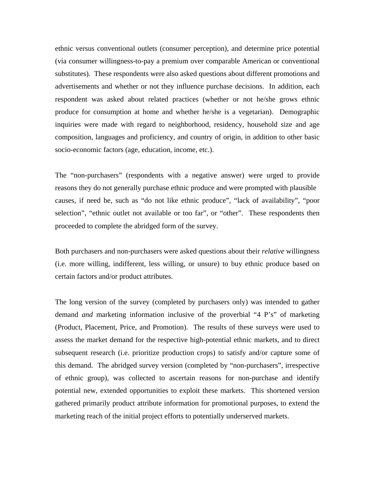ethnic versus conventional outlets (consumer perception), and determine price potential (via consumer willingness-to-pay a premium over comparable American or conventional substitutes). These respondents were also asked questions about different promotions and advertisements and whether or not they influence purchase decisions. In addition, each respondent was asked about related practices (whether or not he/she grows ethnic produce for consumption at home and whether he/she is a vegetarian). Demographic inquiries were made with regard to neighborhood, residency, household size and age composition, languages and proficiency, and country of origin, in addition to other basic socio-economic factors (age, education, income, etc.).

The "non-purchasers" (respondents with a negative answer) were urged to provide reasons they do not generally purchase ethnic produce and were prompted with plausible causes, if need be, such as "do not like ethnic produce", "lack of availability", "poor selection", "ethnic outlet not available or too far", or "other". These respondents then proceeded to complete the abridged form of the survey.

Both purchasers and non-purchasers were asked questions about their *relative* willingness (i.e. more willing, indifferent, less willing, or unsure) to buy ethnic produce based on certain factors and/or product attributes.

The long version of the survey (completed by purchasers only) was intended to gather demand *and* marketing information inclusive of the proverbial "4 P's" of marketing (Product, Placement, Price, and Promotion). The results of these surveys were used to assess the market demand for the respective high-potential ethnic markets, and to direct subsequent research (i.e. prioritize production crops) to satisfy and/or capture some of this demand. The abridged survey version (completed by "non-purchasers", irrespective of ethnic group), was collected to ascertain reasons for non-purchase and identify potential new, extended opportunities to exploit these markets. This shortened version gathered primarily product attribute information for promotional purposes, to extend the marketing reach of the initial project efforts to potentially underserved markets.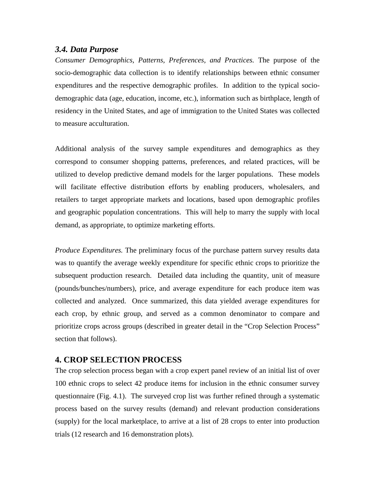#### *3.4. Data Purpose*

*Consumer Demographics, Patterns, Preferences, and Practices.* The purpose of the socio-demographic data collection is to identify relationships between ethnic consumer expenditures and the respective demographic profiles. In addition to the typical sociodemographic data (age, education, income, etc.), information such as birthplace, length of residency in the United States, and age of immigration to the United States was collected to measure acculturation.

Additional analysis of the survey sample expenditures and demographics as they correspond to consumer shopping patterns, preferences, and related practices, will be utilized to develop predictive demand models for the larger populations. These models will facilitate effective distribution efforts by enabling producers, wholesalers, and retailers to target appropriate markets and locations, based upon demographic profiles and geographic population concentrations. This will help to marry the supply with local demand, as appropriate, to optimize marketing efforts.

*Produce Expenditures.* The preliminary focus of the purchase pattern survey results data was to quantify the average weekly expenditure for specific ethnic crops to prioritize the subsequent production research. Detailed data including the quantity, unit of measure (pounds/bunches/numbers), price, and average expenditure for each produce item was collected and analyzed. Once summarized, this data yielded average expenditures for each crop, by ethnic group, and served as a common denominator to compare and prioritize crops across groups (described in greater detail in the "Crop Selection Process" section that follows).

#### **4. CROP SELECTION PROCESS**

The crop selection process began with a crop expert panel review of an initial list of over 100 ethnic crops to select 42 produce items for inclusion in the ethnic consumer survey questionnaire (Fig. 4.1). The surveyed crop list was further refined through a systematic process based on the survey results (demand) and relevant production considerations (supply) for the local marketplace, to arrive at a list of 28 crops to enter into production trials (12 research and 16 demonstration plots).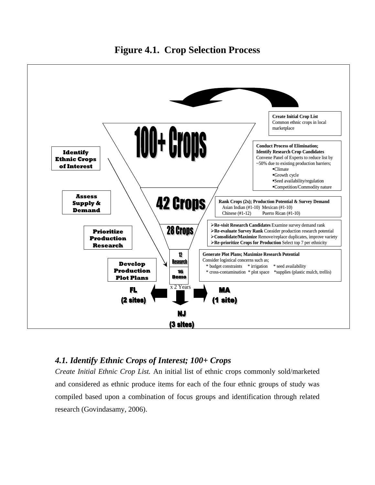

## *4.1. Identify Ethnic Crops of Interest; 100+ Crops*

*Create Initial Ethnic Crop List.* An initial list of ethnic crops commonly sold/marketed and considered as ethnic produce items for each of the four ethnic groups of study was compiled based upon a combination of focus groups and identification through related research (Govindasamy, 2006).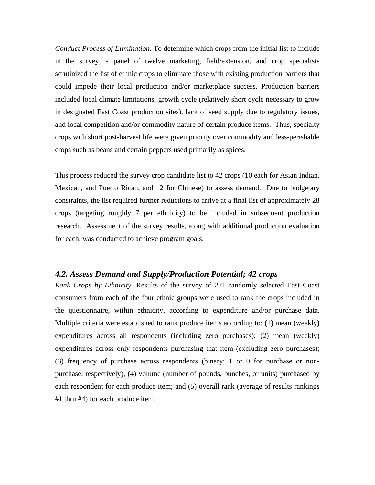*Conduct Process of Elimination.* To determine which crops from the initial list to include in the survey, a panel of twelve marketing, field/extension, and crop specialists scrutinized the list of ethnic crops to eliminate those with existing production barriers that could impede their local production and/or marketplace success. Production barriers included local climate limitations, growth cycle (relatively short cycle necessary to grow in designated East Coast production sites), lack of seed supply due to regulatory issues, and local competition and/or commodity nature of certain produce items. Thus, specialty crops with short post-harvest life were given priority over commodity and less-perishable crops such as beans and certain peppers used primarily as spices.

This process reduced the survey crop candidate list to 42 crops (10 each for Asian Indian, Mexican, and Puerto Rican, and 12 for Chinese) to assess demand. Due to budgetary constraints, the list required further reductions to arrive at a final list of approximately 28 crops (targeting roughly 7 per ethnicity) to be included in subsequent production research. Assessment of the survey results, along with additional production evaluation for each, was conducted to achieve program goals.

### *4.2. Assess Demand and Supply/Production Potential; 42 crops*

*Rank Crops by Ethnicity.* Results of the survey of 271 randomly selected East Coast consumers from each of the four ethnic groups were used to rank the crops included in the questionnaire, within ethnicity, according to expenditure and/or purchase data. Multiple criteria were established to rank produce items according to: (1) mean (weekly) expenditures across all respondents (including zero purchases); (2) mean (weekly) expenditures across only respondents purchasing that item (excluding zero purchases); (3) frequency of purchase across respondents (binary; 1 or 0 for purchase or nonpurchase, respectively), (4) volume (number of pounds, bunches, or units) purchased by each respondent for each produce item; and (5) overall rank (average of results rankings #1 thru #4) for each produce item.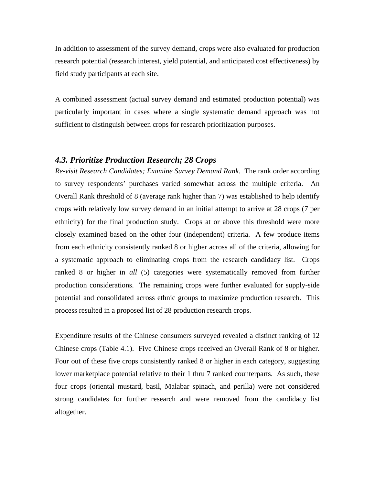In addition to assessment of the survey demand, crops were also evaluated for production research potential (research interest, yield potential, and anticipated cost effectiveness) by field study participants at each site.

A combined assessment (actual survey demand and estimated production potential) was particularly important in cases where a single systematic demand approach was not sufficient to distinguish between crops for research prioritization purposes.

#### *4.3. Prioritize Production Research; 28 Crops*

*Re-visit Research Candidates; Examine Survey Demand Rank.* The rank order according to survey respondents' purchases varied somewhat across the multiple criteria. An Overall Rank threshold of 8 (average rank higher than 7) was established to help identify crops with relatively low survey demand in an initial attempt to arrive at 28 crops (7 per ethnicity) for the final production study. Crops at or above this threshold were more closely examined based on the other four (independent) criteria. A few produce items from each ethnicity consistently ranked 8 or higher across all of the criteria, allowing for a systematic approach to eliminating crops from the research candidacy list. Crops ranked 8 or higher in *all* (5) categories were systematically removed from further production considerations. The remaining crops were further evaluated for supply-side potential and consolidated across ethnic groups to maximize production research. This process resulted in a proposed list of 28 production research crops.

Expenditure results of the Chinese consumers surveyed revealed a distinct ranking of 12 Chinese crops (Table 4.1). Five Chinese crops received an Overall Rank of 8 or higher. Four out of these five crops consistently ranked 8 or higher in each category, suggesting lower marketplace potential relative to their 1 thru 7 ranked counterparts. As such, these four crops (oriental mustard, basil, Malabar spinach, and perilla) were not considered strong candidates for further research and were removed from the candidacy list altogether.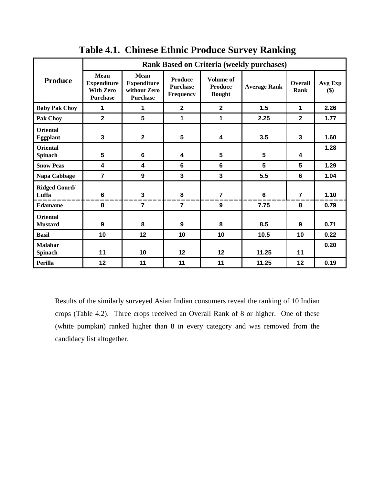| <b>Rank Based on Criteria (weekly purchases)</b> |                                                                          |                                                               |                                                       |                                                     |                     |                        |                |
|--------------------------------------------------|--------------------------------------------------------------------------|---------------------------------------------------------------|-------------------------------------------------------|-----------------------------------------------------|---------------------|------------------------|----------------|
| <b>Produce</b>                                   | <b>Mean</b><br><b>Expenditure</b><br><b>With Zero</b><br><b>Purchase</b> | Mean<br><b>Expenditure</b><br>without Zero<br><b>Purchase</b> | <b>Produce</b><br><b>Purchase</b><br><b>Frequency</b> | <b>Volume of</b><br><b>Produce</b><br><b>Bought</b> | <b>Average Rank</b> | <b>Overall</b><br>Rank | Avg Exp<br>\$) |
| <b>Baby Pak Choy</b>                             | 1                                                                        | 1                                                             | $\mathbf{2}$                                          | $\mathbf{2}$                                        | 1.5                 | $\mathbf{1}$           | 2.26           |
| <b>Pak Choy</b>                                  | $\overline{2}$                                                           | 5                                                             | 1                                                     | $\mathbf{1}$                                        | 2.25                | $\overline{2}$         | 1.77           |
| <b>Oriental</b><br><b>Eggplant</b>               | $\mathbf{3}$                                                             | $\overline{\mathbf{2}}$                                       | 5                                                     | 4                                                   | 3.5                 | 3                      | 1.60           |
| <b>Oriental</b><br><b>Spinach</b>                | $5\phantom{.0}$                                                          | 6                                                             | 4                                                     | 5                                                   | 5                   | 4                      | 1.28           |
| <b>Snow Peas</b>                                 | 4                                                                        | 4                                                             | 6                                                     | 6                                                   | 5                   | 5                      | 1.29           |
| Napa Cabbage                                     | $\overline{7}$                                                           | 9                                                             | 3                                                     | $\overline{\mathbf{3}}$                             | 5.5                 | 6                      | 1.04           |
| <b>Ridged Gourd/</b><br>Luffa                    | 6                                                                        | $\mathbf{3}$                                                  | 8                                                     | $\overline{7}$                                      | $6\phantom{1}$      | $\overline{7}$         | 1.10           |
| <b>Edamame</b>                                   | 8                                                                        | $\overline{7}$                                                | $\overline{7}$                                        | 9                                                   | 7.75                | 8                      | 0.79           |
| <b>Oriental</b><br><b>Mustard</b>                | 9                                                                        | 8                                                             | $\boldsymbol{9}$                                      | 8                                                   | 8.5                 | 9                      | 0.71           |
| <b>Basil</b>                                     | 10                                                                       | 12                                                            | 10                                                    | 10                                                  | 10.5                | 10                     | 0.22           |
| <b>Malabar</b><br><b>Spinach</b>                 | 11                                                                       | 10                                                            | 12                                                    | 12                                                  | 11.25               | 11                     | 0.20           |
| Perilla                                          | 12                                                                       | 11                                                            | 11                                                    | 11                                                  | 11.25               | 12                     | 0.19           |

## **Table 4.1. Chinese Ethnic Produce Survey Ranking**

Results of the similarly surveyed Asian Indian consumers reveal the ranking of 10 Indian crops (Table 4.2). Three crops received an Overall Rank of 8 or higher. One of these (white pumpkin) ranked higher than 8 in every category and was removed from the candidacy list altogether.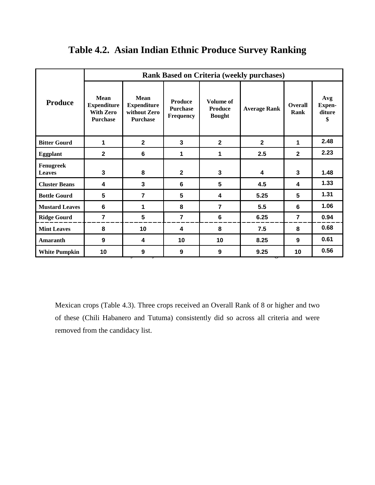|                            | <b>Rank Based on Criteria (weekly purchases)</b>                  |                                                               |                                                |                                              |                     |                 |                                      |  |
|----------------------------|-------------------------------------------------------------------|---------------------------------------------------------------|------------------------------------------------|----------------------------------------------|---------------------|-----------------|--------------------------------------|--|
| Produce                    | Mean<br><b>Expenditure</b><br><b>With Zero</b><br><b>Purchase</b> | Mean<br><b>Expenditure</b><br>without Zero<br><b>Purchase</b> | <b>Produce</b><br><b>Purchase</b><br>Frequency | Volume of<br><b>Produce</b><br><b>Bought</b> | <b>Average Rank</b> | Overall<br>Rank | Avg<br><b>Expen-</b><br>diture<br>\$ |  |
| <b>Bitter Gourd</b>        | 1                                                                 | $\mathbf{2}$                                                  | 3                                              | $\mathbf{2}$                                 | $\overline{2}$      | 1               | 2.48                                 |  |
| <b>Eggplant</b>            | $\mathbf{2}$                                                      | $6\phantom{1}$                                                | 1                                              | 1                                            | 2.5                 | $\mathbf{2}$    | 2.23                                 |  |
| Fenugreek<br><b>Leaves</b> | $\mathbf{3}$                                                      | 8                                                             | $\mathbf{2}$                                   | 3                                            | 4                   | 3               | 1.48                                 |  |
| <b>Cluster Beans</b>       | 4                                                                 | $\mathbf{3}$                                                  | 6                                              | 5                                            | 4.5                 | 4               | 1.33                                 |  |
| <b>Bottle Gourd</b>        | 5                                                                 | $\overline{7}$                                                | 5                                              | 4                                            | 5.25                | 5               | 1.31                                 |  |
| <b>Mustard Leaves</b>      | 6                                                                 | 1                                                             | 8                                              | $\overline{7}$                               | 5.5                 | 6               | 1.06                                 |  |
| <b>Ridge Gourd</b>         | 7                                                                 | 5                                                             | $\overline{7}$                                 | $6\phantom{1}$                               | 6.25                | $\overline{7}$  | 0.94                                 |  |
| <b>Mint Leaves</b>         | 8                                                                 | 10                                                            | 4                                              | 8                                            | 7.5                 | 8               | 0.68                                 |  |
| <b>Amaranth</b>            | 9                                                                 | 4                                                             | 10                                             | 10                                           | 8.25                | 9               | 0.61                                 |  |
| <b>White Pumpkin</b>       | 10                                                                | 9                                                             | 9                                              | 9                                            | 9.25                | 10              | 0.56                                 |  |

## **Table 4.2. Asian Indian Ethnic Produce Survey Ranking**

Mexican crops (Table 4.3). Three crops received an Overall Rank of 8 or higher and two of these (Chili Habanero and Tutuma) consistently did so across all criteria and were removed from the candidacy list.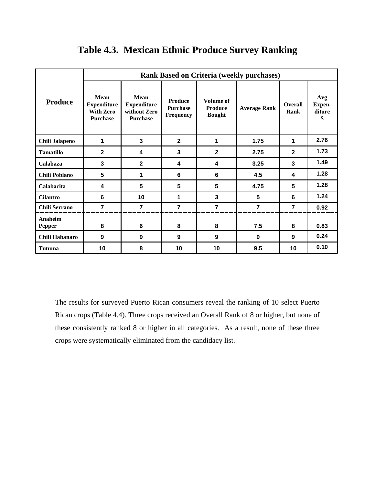|                          | <b>Rank Based on Criteria (weekly purchases)</b>                         |                                                               |                                                       |                                                     |                         |                        |                                      |  |
|--------------------------|--------------------------------------------------------------------------|---------------------------------------------------------------|-------------------------------------------------------|-----------------------------------------------------|-------------------------|------------------------|--------------------------------------|--|
| Produce                  | <b>Mean</b><br><b>Expenditure</b><br><b>With Zero</b><br><b>Purchase</b> | Mean<br><b>Expenditure</b><br>without Zero<br><b>Purchase</b> | <b>Produce</b><br><b>Purchase</b><br><b>Frequency</b> | <b>Volume of</b><br><b>Produce</b><br><b>Bought</b> | <b>Average Rank</b>     | <b>Overall</b><br>Rank | Avg<br><b>Expen-</b><br>diture<br>\$ |  |
| Chili Jalapeno           | 1                                                                        | 3                                                             | $\mathbf{2}$                                          | 1                                                   | 1.75                    | 1                      | 2.76                                 |  |
| <b>Tamatillo</b>         | $\overline{2}$                                                           | 4                                                             | 3                                                     | $\overline{2}$                                      | 2.75                    | $\overline{2}$         | 1.73                                 |  |
| Calabaza                 | 3                                                                        | $\mathbf{2}$                                                  | 4                                                     | 4                                                   | 3.25                    | 3                      | 1.49                                 |  |
| <b>Chili Poblano</b>     | 5                                                                        | 1                                                             | 6                                                     | 6                                                   | 4.5                     | 4                      | 1.28                                 |  |
| Calabacita               | 4                                                                        | 5                                                             | 5                                                     | 5                                                   | 4.75                    | 5                      | 1.28                                 |  |
| <b>Cilantro</b>          | 6                                                                        | 10                                                            | 1                                                     | 3                                                   | 5                       | 6                      | 1.24                                 |  |
| <b>Chili Serrano</b>     | $\overline{\mathbf{r}}$                                                  | $\overline{7}$                                                | $\overline{7}$                                        | $\overline{7}$                                      | $\overline{\mathbf{r}}$ | $\overline{7}$         | 0.92                                 |  |
| Anaheim<br><b>Pepper</b> | 8                                                                        | 6                                                             | 8                                                     | 8                                                   | 7.5                     | 8                      | 0.83                                 |  |
| Chili Habanaro           | $\boldsymbol{9}$                                                         | 9                                                             | 9                                                     | 9                                                   | 9                       | 9                      | 0.24                                 |  |
| Tutuma                   | 10                                                                       | 8                                                             | 10                                                    | 10                                                  | 9.5                     | 10                     | 0.10                                 |  |

## **Table 4.3. Mexican Ethnic Produce Survey Ranking**

The results for surveyed Puerto Rican consumers reveal the ranking of 10 select Puerto Rican crops (Table 4.4). Three crops received an Overall Rank of 8 or higher, but none of these consistently ranked 8 or higher in all categories. As a result, none of these three crops were systematically eliminated from the candidacy list.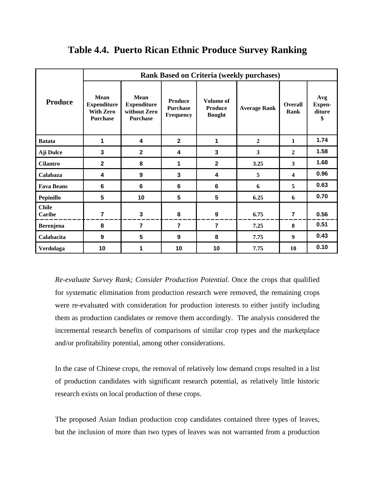|                        | <b>Rank Based on Criteria (weekly purchases)</b>                         |                                                               |                                                       |                                                     |                     |                        |                                      |  |
|------------------------|--------------------------------------------------------------------------|---------------------------------------------------------------|-------------------------------------------------------|-----------------------------------------------------|---------------------|------------------------|--------------------------------------|--|
| <b>Produce</b>         | <b>Mean</b><br><b>Expenditure</b><br><b>With Zero</b><br><b>Purchase</b> | Mean<br><b>Expenditure</b><br>without Zero<br><b>Purchase</b> | <b>Produce</b><br><b>Purchase</b><br><b>Frequency</b> | <b>Volume of</b><br><b>Produce</b><br><b>Bought</b> | <b>Average Rank</b> | <b>Overall</b><br>Rank | Avg<br><b>Expen-</b><br>diture<br>\$ |  |
| <b>Batata</b>          | 1                                                                        | 4                                                             | $\overline{2}$                                        | 1                                                   | $\boldsymbol{2}$    | 1                      | 1.74                                 |  |
| Aji Dulce              | 3                                                                        | $\overline{2}$                                                | 4                                                     | 3                                                   | $\mathbf{3}$        | $\mathbf{2}$           | 1.58                                 |  |
| <b>Cilantro</b>        | $\mathbf{2}$                                                             | 8                                                             | 1                                                     | $\mathbf{2}$                                        | 3.25                | 3                      | 1.68                                 |  |
| Calabaza               | 4                                                                        | 9                                                             | 3                                                     | $\overline{\mathbf{4}}$                             | 5                   | 4                      | 0.96                                 |  |
| <b>Fava Beans</b>      | 6                                                                        | $6\phantom{1}$                                                | 6                                                     | 6                                                   | 6                   | 5                      | 0.63                                 |  |
| <b>Pepinillo</b>       | 5                                                                        | 10                                                            | 5                                                     | 5                                                   | 6.25                | 6                      | 0.70                                 |  |
| <b>Chile</b><br>Caribe | $\overline{7}$                                                           | 3                                                             | 8                                                     | $\boldsymbol{9}$                                    | 6.75                | $\overline{7}$         | 0.56                                 |  |
| <b>Berenjena</b>       | 8                                                                        | 7                                                             | $\overline{7}$                                        | $\overline{7}$                                      | 7.25                | 8                      | 0.51                                 |  |
| Calabacita             | 9                                                                        | 5                                                             | 9                                                     | 8                                                   | 7.75                | 9                      | 0.43                                 |  |
| Verdolaga              | 10                                                                       | 1                                                             | 10                                                    | 10                                                  | 7.75                | 10                     | 0.10                                 |  |

## **Table 4.4. Puerto Rican Ethnic Produce Survey Ranking**

*Re-evaluate Survey Rank; Consider Production Potential.* Once the crops that qualified for systematic elimination from production research were removed, the remaining crops were re-evaluated with consideration for production interests to either justify including them as production candidates or remove them accordingly. The analysis considered the incremental research benefits of comparisons of similar crop types and the marketplace and/or profitability potential, among other considerations.

In the case of Chinese crops, the removal of relatively low demand crops resulted in a list of production candidates with significant research potential, as relatively little historic research exists on local production of these crops.

The proposed Asian Indian production crop candidates contained three types of leaves, but the inclusion of more than two types of leaves was not warranted from a production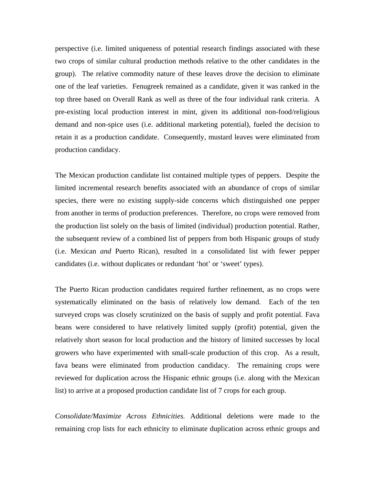perspective (i.e. limited uniqueness of potential research findings associated with these two crops of similar cultural production methods relative to the other candidates in the group). The relative commodity nature of these leaves drove the decision to eliminate one of the leaf varieties. Fenugreek remained as a candidate, given it was ranked in the top three based on Overall Rank as well as three of the four individual rank criteria. A pre-existing local production interest in mint, given its additional non-food/religious demand and non-spice uses (i.e. additional marketing potential), fueled the decision to retain it as a production candidate. Consequently, mustard leaves were eliminated from production candidacy.

The Mexican production candidate list contained multiple types of peppers. Despite the limited incremental research benefits associated with an abundance of crops of similar species, there were no existing supply-side concerns which distinguished one pepper from another in terms of production preferences. Therefore, no crops were removed from the production list solely on the basis of limited (individual) production potential. Rather, the subsequent review of a combined list of peppers from both Hispanic groups of study (i.e. Mexican *and* Puerto Rican), resulted in a consolidated list with fewer pepper candidates (i.e. without duplicates or redundant 'hot' or 'sweet' types).

The Puerto Rican production candidates required further refinement, as no crops were systematically eliminated on the basis of relatively low demand. Each of the ten surveyed crops was closely scrutinized on the basis of supply and profit potential. Fava beans were considered to have relatively limited supply (profit) potential, given the relatively short season for local production and the history of limited successes by local growers who have experimented with small-scale production of this crop. As a result, fava beans were eliminated from production candidacy. The remaining crops were reviewed for duplication across the Hispanic ethnic groups (i.e. along with the Mexican list) to arrive at a proposed production candidate list of 7 crops for each group.

*Consolidate/Maximize Across Ethnicities.* Additional deletions were made to the remaining crop lists for each ethnicity to eliminate duplication across ethnic groups and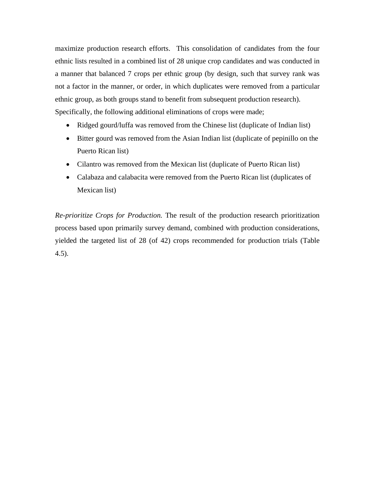maximize production research efforts. This consolidation of candidates from the four ethnic lists resulted in a combined list of 28 unique crop candidates and was conducted in a manner that balanced 7 crops per ethnic group (by design, such that survey rank was not a factor in the manner, or order, in which duplicates were removed from a particular ethnic group, as both groups stand to benefit from subsequent production research). Specifically, the following additional eliminations of crops were made;

- Ridged gourd/luffa was removed from the Chinese list (duplicate of Indian list)
- Bitter gourd was removed from the Asian Indian list (duplicate of pepinillo on the Puerto Rican list)
- Cilantro was removed from the Mexican list (duplicate of Puerto Rican list)
- Calabaza and calabacita were removed from the Puerto Rican list (duplicates of Mexican list)

*Re-prioritize Crops for Production.* The result of the production research prioritization process based upon primarily survey demand, combined with production considerations, yielded the targeted list of 28 (of 42) crops recommended for production trials (Table 4.5).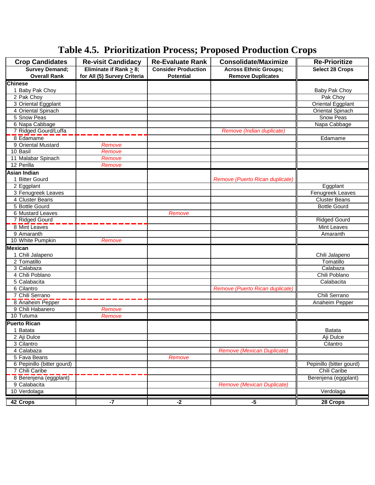# **Table 4.5. Prioritization Process; Proposed Production Crops**

| <b>Crop Candidates</b>     | <b>Re-visit Candidacy</b>   | <b>Re-Evaluate Rank</b>    | <b>Consolidate/Maximize</b>       | <b>Re-Prioritize</b>     |
|----------------------------|-----------------------------|----------------------------|-----------------------------------|--------------------------|
| <b>Survey Demand;</b>      | Eliminate if Rank > 8;      | <b>Consider Production</b> | <b>Across Ethnic Groups;</b>      | <b>Select 28 Crops</b>   |
| <b>Overall Rank</b>        | for All (5) Survey Criteria | <b>Potential</b>           | <b>Remove Duplicates</b>          |                          |
| <b>Chinese</b>             |                             |                            |                                   |                          |
| 1 Baby Pak Choy            |                             |                            |                                   | Baby Pak Choy            |
| 2 Pak Choy                 |                             |                            |                                   | Pak Choy                 |
| 3 Oriental Eggplant        |                             |                            |                                   | Oriental Eggplant        |
| 4 Oriental Spinach         |                             |                            |                                   | <b>Oriental Spinach</b>  |
| 5 Snow Peas                |                             |                            |                                   | <b>Snow Peas</b>         |
| 6 Napa Cabbage             |                             |                            |                                   | Napa Cabbage             |
| 7 Ridged Gourd/Luffa       |                             |                            | Remove (Indian duplicate)         |                          |
| 8 Edamame                  |                             |                            |                                   | Edamame                  |
| 9 Oriental Mustard         | Remove                      |                            |                                   |                          |
| 10 Basil                   | Remove                      |                            |                                   |                          |
| 11 Malabar Spinach         | Remove                      |                            |                                   |                          |
| 12 Perilla                 | Remove                      |                            |                                   |                          |
| <b>Asian Indian</b>        |                             |                            |                                   |                          |
| 1 Bitter Gourd             |                             |                            | Remove (Puerto Rican duplicate)   |                          |
| 2 Eggplant                 |                             |                            |                                   | Eggplant                 |
| 3 Fenugreek Leaves         |                             |                            |                                   | <b>Fenugreek Leaves</b>  |
| 4 Cluster Beans            |                             |                            |                                   | <b>Cluster Beans</b>     |
| 5 Bottle Gourd             |                             |                            |                                   | <b>Bottle Gourd</b>      |
| 6 Mustard Leaves           |                             | Remove                     |                                   |                          |
| 7 Ridged Gourd             |                             |                            |                                   | <b>Ridged Gourd</b>      |
| 8 Mint Leaves              |                             |                            |                                   | <b>Mint Leaves</b>       |
| 9 Amaranth                 |                             |                            |                                   | Amaranth                 |
| 10 White Pumpkin           | Remove                      |                            |                                   |                          |
| <b>Mexican</b>             |                             |                            |                                   |                          |
| 1 Chili Jalapeno           |                             |                            |                                   | Chili Jalapeno           |
| 2 Tomatillo                |                             |                            |                                   | Tomatillo                |
| 3 Calabaza                 |                             |                            |                                   | Calabaza                 |
| 4 Chili Poblano            |                             |                            |                                   | Chili Poblano            |
| 5 Calabacita               |                             |                            |                                   | Calabacita               |
| 6 Cilantro                 |                             |                            | Remove (Puerto Rican duplicate)   |                          |
| 7 Chili Serrano            |                             |                            |                                   | Chili Serrano            |
| 8 Anaheim Pepper           |                             |                            |                                   | Anaheim Pepper           |
| 9 Chili Habanero           | Remove                      |                            |                                   |                          |
| 10 Tutuma                  | Remove                      |                            |                                   |                          |
| <b>Puerto Rican</b>        |                             |                            |                                   |                          |
| 1 Batata                   |                             |                            |                                   | <b>Batata</b>            |
| 2 Aji Dulce                |                             |                            |                                   | Aji Dulce                |
| 3 Cilantro                 |                             |                            |                                   | Cilantro                 |
| 4 Calabaza                 |                             |                            | <b>Remove (Mexican Duplicate)</b> |                          |
| 5 Fava Beans               |                             | Remove                     |                                   |                          |
| 6 Pepinillo (bitter gourd) |                             |                            |                                   | Pepinillo (bitter gourd) |
| 7 Chili Caribe             |                             |                            |                                   | Chili Caribe             |
| 8 Berenjena (eggplant)     |                             |                            |                                   | Berenjena (eggplant)     |
| 9 Calabacita               |                             |                            | Remove (Mexican Duplicate)        |                          |
| 10 Verdolaga               |                             |                            |                                   | Verdolaga                |
| 42 Crops                   | -7                          | $-2$                       | $-5$                              | 28 Crops                 |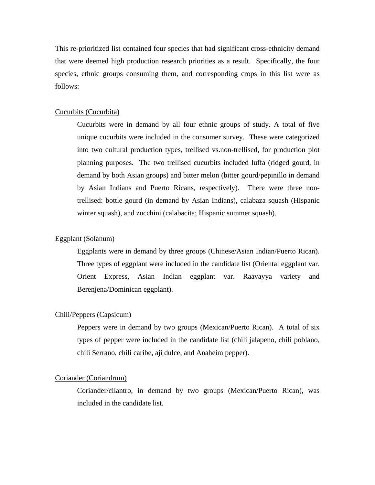This re-prioritized list contained four species that had significant cross-ethnicity demand that were deemed high production research priorities as a result. Specifically, the four species, ethnic groups consuming them, and corresponding crops in this list were as follows:

#### Cucurbits (Cucurbita)

Cucurbits were in demand by all four ethnic groups of study. A total of five unique cucurbits were included in the consumer survey. These were categorized into two cultural production types, trellised vs.non-trellised, for production plot planning purposes. The two trellised cucurbits included luffa (ridged gourd, in demand by both Asian groups) and bitter melon (bitter gourd/pepinillo in demand by Asian Indians and Puerto Ricans, respectively). There were three nontrellised: bottle gourd (in demand by Asian Indians), calabaza squash (Hispanic winter squash), and zucchini (calabacita; Hispanic summer squash).

#### Eggplant (Solanum)

Eggplants were in demand by three groups (Chinese/Asian Indian/Puerto Rican). Three types of eggplant were included in the candidate list (Oriental eggplant var. Orient Express, Asian Indian eggplant var. Raavayya variety and Berenjena/Dominican eggplant).

#### Chili/Peppers (Capsicum)

Peppers were in demand by two groups (Mexican/Puerto Rican). A total of six types of pepper were included in the candidate list (chili jalapeno, chili poblano, chili Serrano, chili caribe, aji dulce, and Anaheim pepper).

#### Coriander (Coriandrum)

Coriander/cilantro, in demand by two groups (Mexican/Puerto Rican), was included in the candidate list.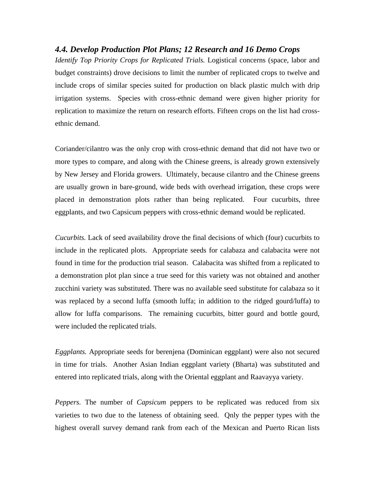#### *4.4. Develop Production Plot Plans; 12 Research and 16 Demo Crops*

*Identify Top Priority Crops for Replicated Trials.* Logistical concerns (space, labor and budget constraints) drove decisions to limit the number of replicated crops to twelve and include crops of similar species suited for production on black plastic mulch with drip irrigation systems. Species with cross-ethnic demand were given higher priority for replication to maximize the return on research efforts. Fifteen crops on the list had crossethnic demand.

Coriander/cilantro was the only crop with cross-ethnic demand that did not have two or more types to compare, and along with the Chinese greens, is already grown extensively by New Jersey and Florida growers. Ultimately, because cilantro and the Chinese greens are usually grown in bare-ground, wide beds with overhead irrigation, these crops were placed in demonstration plots rather than being replicated. Four cucurbits, three eggplants, and two Capsicum peppers with cross-ethnic demand would be replicated.

*Cucurbits.* Lack of seed availability drove the final decisions of which (four) cucurbits to include in the replicated plots. Appropriate seeds for calabaza and calabacita were not found in time for the production trial season. Calabacita was shifted from a replicated to a demonstration plot plan since a true seed for this variety was not obtained and another zucchini variety was substituted. There was no available seed substitute for calabaza so it was replaced by a second luffa (smooth luffa; in addition to the ridged gourd/luffa) to allow for luffa comparisons. The remaining cucurbits, bitter gourd and bottle gourd, were included the replicated trials.

*Eggplants.* Appropriate seeds for berenjena (Dominican eggplant) were also not secured in time for trials. Another Asian Indian eggplant variety (Bharta) was substituted and entered into replicated trials, along with the Oriental eggplant and Raavayya variety.

*Peppers.* The number of *Capsicum* peppers to be replicated was reduced from six varieties to two due to the lateness of obtaining seed. Qnly the pepper types with the highest overall survey demand rank from each of the Mexican and Puerto Rican lists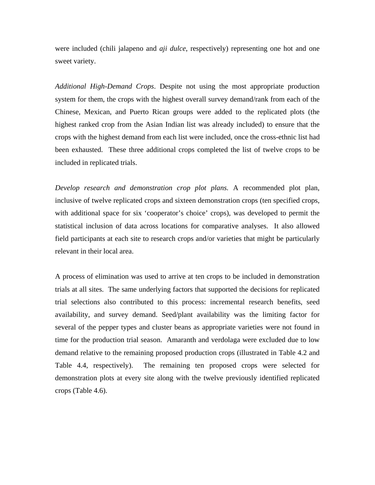were included (chili jalapeno and *aji dulce*, respectively) representing one hot and one sweet variety.

*Additional High-Demand Crops*. Despite not using the most appropriate production system for them, the crops with the highest overall survey demand/rank from each of the Chinese, Mexican, and Puerto Rican groups were added to the replicated plots (the highest ranked crop from the Asian Indian list was already included) to ensure that the crops with the highest demand from each list were included, once the cross-ethnic list had been exhausted. These three additional crops completed the list of twelve crops to be included in replicated trials.

*Develop research and demonstration crop plot plans.* A recommended plot plan, inclusive of twelve replicated crops and sixteen demonstration crops (ten specified crops, with additional space for six 'cooperator's choice' crops), was developed to permit the statistical inclusion of data across locations for comparative analyses. It also allowed field participants at each site to research crops and/or varieties that might be particularly relevant in their local area.

A process of elimination was used to arrive at ten crops to be included in demonstration trials at all sites. The same underlying factors that supported the decisions for replicated trial selections also contributed to this process: incremental research benefits, seed availability, and survey demand. Seed/plant availability was the limiting factor for several of the pepper types and cluster beans as appropriate varieties were not found in time for the production trial season. Amaranth and verdolaga were excluded due to low demand relative to the remaining proposed production crops (illustrated in Table 4.2 and Table 4.4, respectively). The remaining ten proposed crops were selected for demonstration plots at every site along with the twelve previously identified replicated crops (Table 4.6).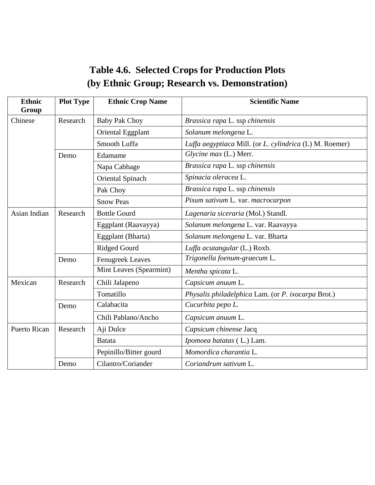| <b>Table 4.6. Selected Crops for Production Plots</b> |
|-------------------------------------------------------|
| (by Ethnic Group; Research vs. Demonstration)         |

| <b>Ethnic</b><br>Group | <b>Plot Type</b> | <b>Ethnic Crop Name</b> | <b>Scientific Name</b>                                  |
|------------------------|------------------|-------------------------|---------------------------------------------------------|
| Chinese                | Research         | <b>Baby Pak Choy</b>    | Brassica rapa L. ssp chinensis                          |
|                        |                  | Oriental Eggplant       | Solanum melongena L.                                    |
|                        |                  | Smooth Luffa            | Luffa aegyptiaca Mill. (or L. cylindrica (L) M. Roemer) |
|                        | Demo             | Edamame                 | Glycine max (L.) Merr.                                  |
|                        |                  | Napa Cabbage            | Brassica rapa L. ssp chinensis                          |
|                        |                  | Oriental Spinach        | Spinacia oleracea L.                                    |
|                        |                  | Pak Choy                | Brassica rapa L. ssp chinensis                          |
|                        |                  | <b>Snow Peas</b>        | Pisum sativum L. var. macrocarpon                       |
| Asian Indian           | Research         | <b>Bottle Gourd</b>     | Lagenaria siceraria (Mol.) Standl.                      |
|                        |                  | Eggplant (Raavayya)     | Solanum melongena L. var. Raavayya                      |
|                        |                  | Eggplant (Bharta)       | Solanum melongena L. var. Bharta                        |
|                        |                  | <b>Ridged Gourd</b>     | Luffa acutangular (L.) Roxb.                            |
|                        | Demo             | <b>Fenugreek Leaves</b> | Trigonella foenum-graecum L.                            |
|                        |                  | Mint Leaves (Spearmint) | Mentha spicata L.                                       |
| Mexican                | Research         | Chili Jalapeno          | Capsicum anuum L.                                       |
|                        |                  | Tomatillo               | Physalis philadelphica Lam. (or P. ixocarpa Brot.)      |
|                        | Demo             | Calabacita              | Cucurbita pepo L.                                       |
|                        |                  | Chili Pablano/Ancho     | Capsicum anuum L.                                       |
| <b>Puerto Rican</b>    | Research         | Aji Dulce               | Capsicum chinense Jacq                                  |
|                        |                  | Batata                  | Ipomoea batatas (L.) Lam.                               |
|                        |                  | Pepinillo/Bitter gourd  | Momordica charantia L.                                  |
|                        | Demo             | Cilantro/Coriander      | Coriandrum sativum L.                                   |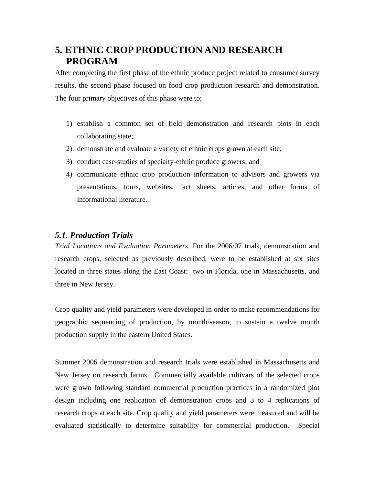## **5. ETHNIC CROP PRODUCTION AND RESEARCH PROGRAM**

After completing the first phase of the ethnic produce project related to consumer survey results, the second phase focused on food crop production research and demonstration. The four primary objectives of this phase were to;

- 1) establish a common set of field demonstration and research plots in each collaborating state;
- 2) demonstrate and evaluate a variety of ethnic crops grown at each site;
- 3) conduct case-studies of specialty-ethnic produce growers; and
- 4) communicate ethnic crop production information to advisors and growers via presentations, tours, websites, fact sheets, articles, and other forms of informational literature.

### *5.1. Production Trials*

*Trial Locations and Evaluation Parameters.* For the 2006/07 trials, demonstration and research crops, selected as previously described, were to be established at six sites located in three states along the East Coast: two in Florida, one in Massachusetts, and three in New Jersey.

Crop quality and yield parameters were developed in order to make recommendations for geographic sequencing of production, by month/season, to sustain a twelve month production supply in the eastern United States.

Summer 2006 demonstration and research trials were established in Massachusetts and New Jersey on research farms. Commercially available cultivars of the selected crops were grown following standard commercial production practices in a randomized plot design including one replication of demonstration crops and 3 to 4 replications of research crops at each site. Crop quality and yield parameters were measured and will be evaluated statistically to determine suitability for commercial production. Special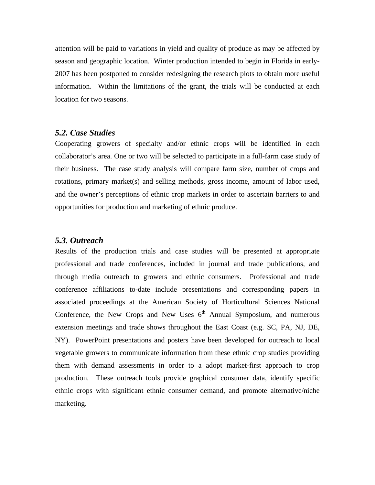attention will be paid to variations in yield and quality of produce as may be affected by season and geographic location. Winter production intended to begin in Florida in early-2007 has been postponed to consider redesigning the research plots to obtain more useful information. Within the limitations of the grant, the trials will be conducted at each location for two seasons.

#### *5.2. Case Studies*

Cooperating growers of specialty and/or ethnic crops will be identified in each collaborator's area. One or two will be selected to participate in a full-farm case study of their business. The case study analysis will compare farm size, number of crops and rotations, primary market(s) and selling methods, gross income, amount of labor used, and the owner's perceptions of ethnic crop markets in order to ascertain barriers to and opportunities for production and marketing of ethnic produce.

#### *5.3. Outreach*

Results of the production trials and case studies will be presented at appropriate professional and trade conferences, included in journal and trade publications, and through media outreach to growers and ethnic consumers. Professional and trade conference affiliations to-date include presentations and corresponding papers in associated proceedings at the American Society of Horticultural Sciences National Conference, the New Crops and New Uses  $6<sup>th</sup>$  Annual Symposium, and numerous extension meetings and trade shows throughout the East Coast (e.g. SC, PA, NJ, DE, NY). PowerPoint presentations and posters have been developed for outreach to local vegetable growers to communicate information from these ethnic crop studies providing them with demand assessments in order to a adopt market-first approach to crop production. These outreach tools provide graphical consumer data, identify specific ethnic crops with significant ethnic consumer demand, and promote alternative/niche marketing.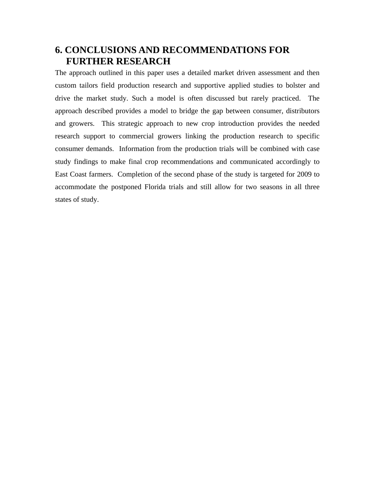## **6. CONCLUSIONS AND RECOMMENDATIONS FOR FURTHER RESEARCH**

The approach outlined in this paper uses a detailed market driven assessment and then custom tailors field production research and supportive applied studies to bolster and drive the market study. Such a model is often discussed but rarely practiced. The approach described provides a model to bridge the gap between consumer, distributors and growers. This strategic approach to new crop introduction provides the needed research support to commercial growers linking the production research to specific consumer demands. Information from the production trials will be combined with case study findings to make final crop recommendations and communicated accordingly to East Coast farmers. Completion of the second phase of the study is targeted for 2009 to accommodate the postponed Florida trials and still allow for two seasons in all three states of study.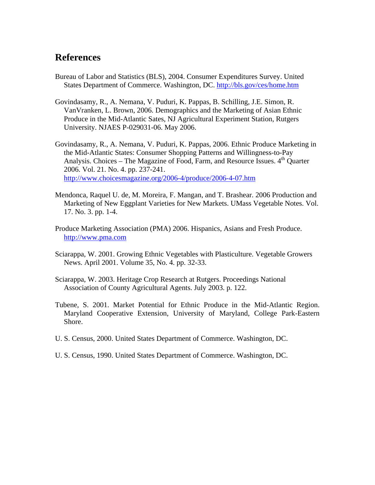## **References**

- Bureau of Labor and Statistics (BLS), 2004. Consumer Expenditures Survey. United States Department of Commerce. Washington, DC. http://bls.gov/ces/home.htm
- Govindasamy, R., A. Nemana, V. Puduri, K. Pappas, B. Schilling, J.E. Simon, R. VanVranken, L. Brown, 2006. Demographics and the Marketing of Asian Ethnic Produce in the Mid-Atlantic Sates, NJ Agricultural Experiment Station, Rutgers University. NJAES P-029031-06. May 2006.
- Govindasamy, R., A. Nemana, V. Puduri, K. Pappas, 2006. Ethnic Produce Marketing in the Mid-Atlantic States: Consumer Shopping Patterns and Willingness-to-Pay Analysis. Choices – The Magazine of Food, Farm, and Resource Issues.  $4<sup>th</sup>$  Quarter 2006. Vol. 21. No. 4. pp. 237-241. http://www.choicesmagazine.org/2006-4/produce/2006-4-07.htm
- Mendonca, Raquel U. de, M. Moreira, F. Mangan, and T. Brashear. 2006 Production and Marketing of New Eggplant Varieties for New Markets. UMass Vegetable Notes. Vol. 17. No. 3. pp. 1-4.
- Produce Marketing Association (PMA) 2006. Hispanics, Asians and Fresh Produce. http://www.pma.com
- Sciarappa, W. 2001. Growing Ethnic Vegetables with Plasticulture. Vegetable Growers News. April 2001. Volume 35, No. 4. pp. 32-33.
- Sciarappa, W. 2003. Heritage Crop Research at Rutgers. Proceedings National Association of County Agricultural Agents. July 2003. p. 122.
- Tubene, S. 2001. Market Potential for Ethnic Produce in the Mid-Atlantic Region. Maryland Cooperative Extension, University of Maryland, College Park-Eastern Shore.
- U. S. Census, 2000. United States Department of Commerce. Washington, DC.
- U. S. Census, 1990. United States Department of Commerce. Washington, DC.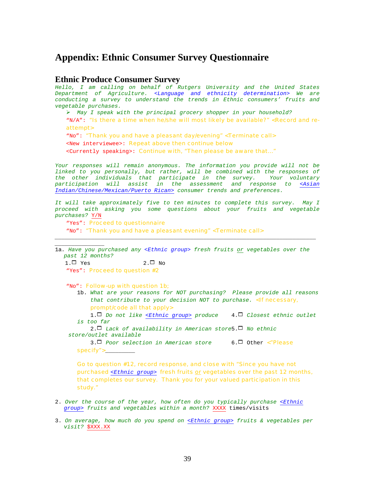### **Appendix: Ethnic Consumer Survey Questionnaire**

#### **Ethnic Produce Consumer Survey**

*Hello, I am calling on behalf of Rutgers University and the United States Department of Agriculture. <Language and ethnicity determination> We are conducting a survey to understand the trends in Ethnic consumers' fruits and vegetable purchases.* 

¾ *May I speak with the principal grocery shopper in your household?* 

"N/A": *"Is there a time when he/she will most likely be available?"* <Record and reattempt>

"No": *"Thank you and have a pleasant day/evening"* <Terminate call>

<New interviewee>: Repeat above then continue below

<Currently speaking>: Continue with, *"Then please be aware that…"* 

*Your responses will remain anonymous. The information you provide will not be linked to you personally, but rather, will be combined with the responses of the other individuals that participate in the survey. Your voluntary participation will assist in the assessment and response to <Asian Indian/Chinese/Mexican/Puerto Rican> consumer trends and preferences.* 

*It will take approximately five to ten minutes to complete this survey. May I proceed with asking you some questions about your fruits and vegetable purchases?* Y/N

**"Yes": Proceed to questionnaire** 

*\_\_\_\_\_\_\_\_\_\_\_\_\_\_\_*

"No": *"Thank you and have a pleasant evening"* <Terminate call>

1a*. Have you purchased any <Ethnic group> fresh fruits or vegetables over the past 12 months?* 

*\_\_\_\_\_\_\_\_\_\_\_\_\_\_\_\_\_\_\_\_\_\_\_\_\_\_\_\_\_\_\_\_\_\_\_\_\_\_\_\_\_\_\_\_\_\_\_\_\_\_\_\_\_\_\_\_\_\_\_\_\_\_\_\_\_\_\_\_\_\_\_\_\_\_\_\_\_\_\_*

 $1.\Box$  Yes 2. $\Box$  No "Yes": Proceed to question #2

"No": Follow-up with question 1b;

1b. *What are your reasons for NOT purchasing? Please provide all reasons that contribute to your decision NOT to purchase.* <If necessary, prompt/code all that apply>

1.1 *Do not like <Ethnic group> produce* 4.1 *Closest ethnic outlet is too far*

2.1 *Lack of availability in American store*5.1 *No ethnic store/outlet available* 

3.1 *Poor selection in American store* 6.1 Other *<"Please specify"*>\_\_\_\_\_\_\_\_\_

Go to question #12, record response, and close with *"Since you have not purchased <Ethnic group> fresh fruits or vegetables over the past 12 months, that completes our survey. Thank you for your valued participation in this study."* 

- 2. *Over the course of the year, how often do you typically purchase <Ethnic group> fruits and vegetables within a month?* XXXX times/visits
- 3. *On average, how much do you spend on <Ethnic group> fruits & vegetables per visit?* \$XXX.XX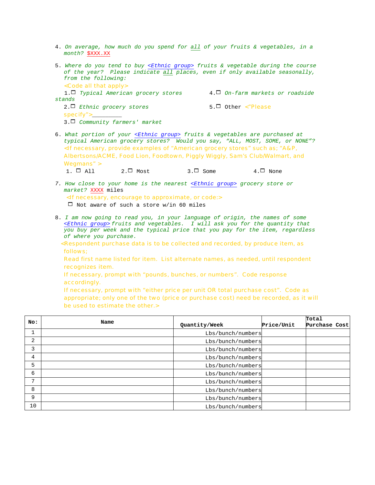- 4. *On average, how much do you spend for all of your fruits & vegetables, in a month?* \$XXX.XX
- 5. *Where do you tend to buy <Ethnic group> fruits & vegetable during the course of the year? Please indicate all places, even if only available seasonally, from the following:*  <Code all that apply> 1.1 *Typical American grocery stores* 4.1 *On-farm markets or roadside stands*

2.1 *Ethnic grocery stores* 5.1 Other *<"Please specify"*>\_\_\_\_\_\_\_\_\_ 3.1 *Community farmers' market* 

6. *What portion of your <Ethnic group> fruits & vegetables are purchased at typical American grocery stores? Would you say, "ALL, MOST, SOME, or NONE"?*  <If necessary, provide examples of *"American grocery stores" such as; "A&P, Albertsons/ACME, Food Lion, Foodtown, Piggly Wiggly, Sam's Club/Walmart, and Wegmans"* >

1.  $\Box$  All  $2.\Box$  Most 3.  $\Box$  Some 4.  $\Box$  None

*7. How close to your home is the nearest <Ethnic group> grocery store or market?* XXXX miles <If necessary, encourage to approximate, or code:>

 $\Box$  Not aware of such a store w/in 60 miles

- 8. *I am now going to read you, in your language of origin, the names of some <Ethnic group> fruits and vegetables. I will ask you for the quantity that you buy per week and the typical price that you pay for the item, regardless of where you purchase.* 
	- <Respondent purchase data is to be collected and recorded, by produce item, as follows;

 Read first name listed for item. List alternate names, as needed, until respondent recognizes item.

If necessary, prompt with *"pounds, bunches, or numbers"*. Code response accordingly.

If necessary, prompt with *"either price per unit OR total purchase cost"*. Code as appropriate; only one of the two (price or purchase cost) need be recorded, as it will be used to estimate the other.>

| No: | Name | Quantity/Week     | Price/Unit | Total<br>Purchase Cost |  |
|-----|------|-------------------|------------|------------------------|--|
|     |      | Lbs/bunch/numbers |            |                        |  |
| 2   |      | Lbs/bunch/numbers |            |                        |  |
| 3   |      | Lbs/bunch/numbers |            |                        |  |
| 4   |      | Lbs/bunch/numbers |            |                        |  |
| 5   |      | Lbs/bunch/numbers |            |                        |  |
| 6   |      | Lbs/bunch/numbers |            |                        |  |
| 7   |      | Lbs/bunch/numbers |            |                        |  |
| 8   |      | Lbs/bunch/numbers |            |                        |  |
| 9   |      | Lbs/bunch/numbers |            |                        |  |
| 10  |      | Lbs/bunch/numbers |            |                        |  |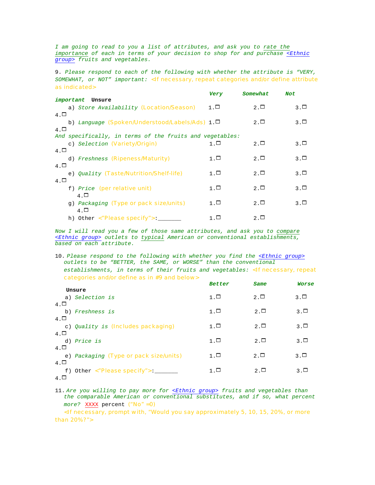*I am going to read to you a list of attributes, and ask you to rate the importance of each in terms of your decision to shop for and purchase <Ethnic group> fruits and vegetables.* 

9. *Please respond to each of the following with whether the attribute is "VERY, SOMEWHAT, or NOT" important:* <If necessary, repeat categories and/or define attribute as indicated>

|                                                                                  | Very         | Somewhat     | Not          |
|----------------------------------------------------------------------------------|--------------|--------------|--------------|
| important<br>Unsure                                                              |              |              |              |
| a) Store Availability (Location/Season)                                          | $1. \Box$    | $2. \Box$    | $3. \square$ |
| $4. \Box$<br>b) Language (Spoken/Understood/Labels/Ads) $1.\Box$<br>$4. \square$ |              | $2. \Box$    | $3. \square$ |
| And specifically, in terms of the fruits and vegetables:                         |              |              |              |
| c) Selection (Variety/Origin)                                                    | $1. \square$ | $2. \Box$    | $3. \square$ |
| $4. \Box$                                                                        |              |              |              |
| d) Freshness (Ripeness/Maturity)                                                 | $1. \Box$    | $2. \square$ | $3. \square$ |
| $4. \Box$                                                                        |              |              |              |
| e) Ouality (Taste/Nutrition/Shelf-life)                                          | $1. \Box$    | 2. $\Box$    | $3. \square$ |
| $4. \square$                                                                     |              |              |              |
| f) Price (per relative unit)                                                     | 1 . □        | $2. \square$ | $3. \square$ |
| $4. \Box$                                                                        |              |              |              |
| q) Packaging (Type or pack size/units)<br>$4. \Box$                              | $1. \square$ | $2. \Box$    | $3. \Box$    |
| h) Other <"Please specify">: ___                                                 | 1 . □        | $2. \Box$    |              |
|                                                                                  |              |              |              |

*Now I will read you a few of those same attributes, and ask you to compare <Ethnic group> outlets to typical American or conventional establishments, based on each attribute.* 

10. *Please respond to the following with whether you find the <Ethnic group> outlets to be "BETTER, the SAME, or WORSE" than the conventional establishments, in terms of their fruits and vegetables:* <If necessary, repeat categories and/or define as in #9 and below>

|              |                                        | <b>Better</b> | Same         | Worse        |
|--------------|----------------------------------------|---------------|--------------|--------------|
|              | Unsure                                 |               |              |              |
|              | a) Selection is                        | $1. \Box$     | $2. \square$ | 3. $\Box$    |
| $4. \square$ |                                        |               |              |              |
|              | b) Freshness is                        | $1. \Box$     | $2.\Box$     | $3. \square$ |
| $4. \Box$    |                                        |               |              |              |
|              | c) Quality is (Includes packaging)     | $1. \Box$     | $2. \Box$    | $3. \square$ |
| $4. \Box$    |                                        |               |              |              |
|              | d) Price is                            | $1. \Box$     | $2. \Box$    | 3 . □        |
| $4. \Box$    |                                        |               |              |              |
|              | e) Packaging (Type or pack size/units) | $1. \Box$     | $2.\Box$     | 3. $\Box$    |
| $4. \Box$    |                                        |               |              |              |
|              | f) Other <"Please specify">:           | $1. \Box$     | $2. \Box$    | $3. \square$ |
| $4. \Box$    |                                        |               |              |              |

11. *Are you willing to pay more for <Ethnic group> fruits and vegetables than the comparable American or conventional substitutes, and if so, what percent more?* XXXX percent ("No" =0)

<If necessary, prompt with, *"Would you say approximately 5, 10, 15, 20%, or more than 20%?"*>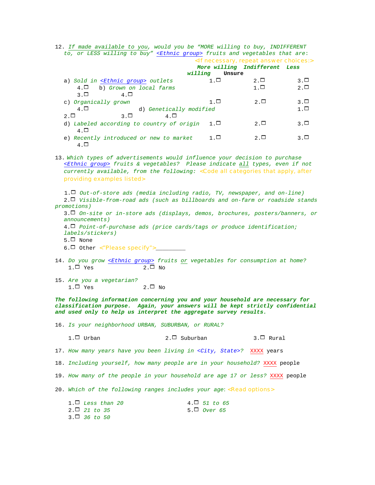12. *If made available to you, would you be "MORE willing to buy, INDIFFERENT to, or LESS willing to buy" <Ethnic group> fruits and vegetables that are*:

|                                               | <if answer="" choices:="" necessary,="" repeat=""></if> | More willing Indifferent Less |           |
|-----------------------------------------------|---------------------------------------------------------|-------------------------------|-----------|
|                                               | willing<br>Unsure                                       |                               |           |
| a) Sold in <ethnic group=""> outlets</ethnic> | $1. \Box$                                               | $2. \square$                  | 3 . □     |
| $4. \Box$<br>b) Grown on local farms          |                                                         | $1. \Box$                     | 2. $\Box$ |
| २ □<br>$4$ $\Box$                             |                                                         |                               |           |
| c) Organically grown                          | $1. \Box$                                               | $2. \square$                  | 3 . □     |
| $4. \Box$<br>d) Genetically modified          |                                                         |                               | $1. \Box$ |
| $2.\Box$<br>3 . □<br>4 O                      |                                                         |                               |           |
| d) Labeled according to country of origin     | $1. \Box$                                               | $2. \Box$                     | 3 . □     |
| $4. \Box$                                     |                                                         |                               |           |
| e) Recently introduced or new to market       | $1. \Box$                                               | $2. \square$                  | 3 . □     |
| $4. \square$                                  |                                                         |                               |           |

13. *Which types of advertisements would influence your decision to purchase <Ethnic group> fruits & vegetables? Please indicate all types, even if not currently available, from the following:* <Code all categories that apply, after providing examples listed>

 1.1 *Out-of-store ads (media including radio, TV, newspaper, and on-line)*  2.1 *Visible-from-road ads (such as billboards and on-farm or roadside stands promotions)* 

3.1 *On-site or in-store ads (displays, demos, brochures, posters/banners, or announcements)* 

4.1 *Point-of-purchase ads (price cards/tags or produce identification; labels/stickers)* 

- $5.\Box$  None
- 6.1 Other *<"Please specify"*>\_\_\_\_\_\_\_\_\_
- 14. *Do you grow <Ethnic group> fruits or vegetables for consumption at home?*   $1.\Box$  Yes 2. $\Box$  No
- 15. *Are you a vegetarian?*   $1.\Box$  Yes 2. $\Box$  No

*The following information concerning you and your household are necessary for classification purpose. Again, your answers will be kept strictly confidential and used only to help us interpret the aggregate survey results.* 

16. *Is your neighborhood URBAN, SUBURBAN, or RURAL?* 

 $1. \Box$  Urban  $2. \Box$  Suburban  $3. \Box$  Rural

17. *How many years have you been living in <City, State>?* XXXX years

18. *Including yourself, how many people are in your household?* XXXX people

19. *How many of the people in your household are age 17 or less?* XXXX people

20. *Which of the following ranges includes your age:* <Read options>

| $1. \Box$ Less than 20 | $4. \Box$ 51 to 65 |
|------------------------|--------------------|
| $2. \Box$ 21 to 35     | 5. $\Box$ Over 65  |
| $3. \Box$ 36 to 50     |                    |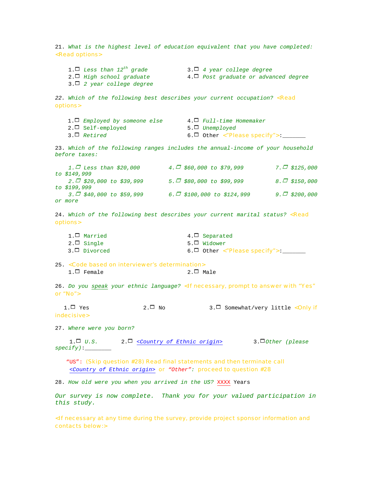21. *What is the highest level of education equivalent that you have completed:* <Read options> 1.1 *Less than 12th grade* 3.1 *4 year college degree* 2.1 *High school graduate* 4.1 *Post graduate or advanced degree* 3.1 *2 year college degree* 22. Which of the following best describes your current occupation? <**Read** options> 1.1 *Employed by someone else* 4.1 *Full-time Homemaker* 2.1 Self-employed 5.1 *Unemployed*  3.1 *Retired* 6.1 Other *<"Please specify">*:\_\_\_\_\_\_\_ 23. *Which of the following ranges includes the annual-income of your household before taxes: 1.*<sup>1</sup> *Less than \$20,000 4.*<sup>1</sup> *\$60,000 to \$79,999 7.*<sup>1</sup> *\$125,000 to \$149,999 2.*<sup>1</sup> *\$20,000 to \$39,999 5.*<sup>1</sup> *\$80,000 to \$99,999 8.*<sup>1</sup> *\$150,000 to \$199,999 3.*<sup>1</sup> *\$40,000 to \$59,999 6.*<sup>1</sup> *\$100,000 to \$124,999 9.*<sup>1</sup> *\$200,000 or more*  24. Which of the following best describes your current marital status? <**Read** options> 1.<sup> $\Box$ </sup> Married 4.<sup> $\Box$ </sup> Separated 2.□ Single 5.□ Widower 3.□ Divorced the set of the set of the set of the set of the set of the set of the set of the set of the set of the set of the set of the set of the set of the set of the set of the set of the set of the set of the set of 25. <Code based on interviewer's determination>  $1. \Box$  Female 2. $\Box$  Male 26. *Do you speak your ethnic language?* <If necessary, prompt to answer with *"Yes" or "No"*> 1. $\Box$  Yes 2. $\Box$  No 3. $\Box$  Somewhat/very little <Only if indecisive> 27. *Where were you born?*  1.1 *U.S.* 2.1 *<Country of Ethnic origin>* 3.1*Other (please specify)*:\_\_\_\_\_\_\_\_ "US": (Skip question #28) Read final statements and then terminate call *<Country of Ethnic origin> or "Other":* proceed to question #28 28. *How old were you when you arrived in the US?* XXXX Years *Our survey is now complete. Thank you for your valued participation in this study.* 

<If necessary at any time during the survey, provide project sponsor information and contacts below:>